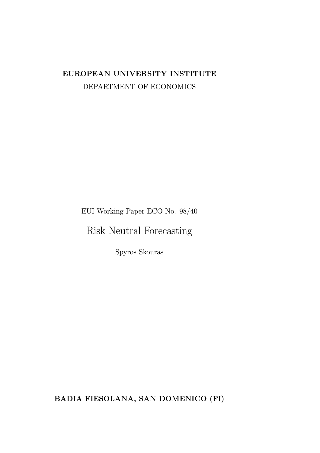## EUROPEAN UNIVERSITY INSTITUTE DEPARTMENT OF ECONOMICS

EUI Working Paper ECO No. 98/40

Risk Neutral Forecasting

Spyros Skouras

BADIA FIESOLANA, SAN DOMENICO (FI)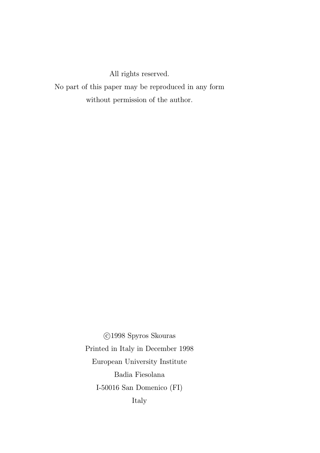All rights reserved.

No part of this paper may be reproduced in any form without permission of the author.

> °c 1998 Spyros Skouras Printed in Italy in December 1998 European University Institute Badia Fiesolana I-50016 San Domenico (FI) Italy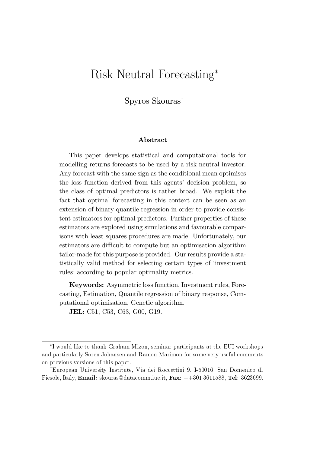# Risk Neutral Forecasting<sup>\*</sup>

 $S$ pyros Skouras<sup>†</sup>

#### Abstract

This paper develops statistical and computational tools for modelling returns forecasts to be used by a risk neutral investor. Any forecast with the same sign as the conditional mean optimises the loss function derived from this agents' decision problem, so the class of optimal predictors is rather broad. We exploit the fact that optimal forecasting in this context can be seen as an extension of binary quantile regression in order to provide consistent estimators for optimal predictors. Further properties of these estimators are explored using simulations and favourable comparisons with least squares procedures are made. Unfortunately, our estimators are difficult to compute but an optimisation algorithm tailor-made for this purpose is provided. Our results provide a statistically valid method for selecting certain types of `investment rules' according to popular optimality metrics.

Keywords: Asymmetric loss function, Investment rules, Forecasting, Estimation, Quantile regression of binary response, Computational optimisation, Genetic algorithm.

JEL: C51, C53, C63, G00, G19.

<sup>¤</sup>I would like to thank Graham Mizon, seminar participants at the EUI workshops and particularly Soren Johansen and Ramon Marimon for some very useful comments on previous versions of this paper.

<sup>&</sup>lt;sup>†</sup>European University Institute, Via dei Roccettini 9, I-50016, San Domenico di Fiesole, Italy, Email: skouras@datacomm.iue.it, Fax: ++301 3611588, Tel: 3623699.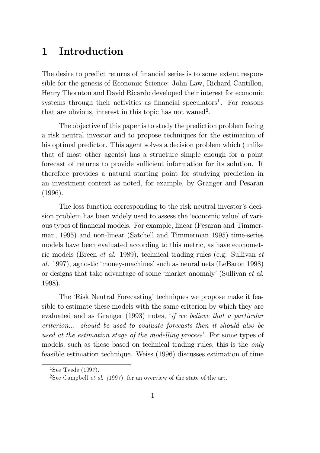## 1 Introduction

The desire to predict returns of financial series is to some extent responsible for the genesis of Economic Science: John Law, Richard Cantillon, Henry Thornton and David Ricardo developed their interest for economic systems through their activities as financial speculators<sup>1</sup>. For reasons that are obvious, interest in this topic has not waned<sup>2</sup>.

The objective of this paper is to study the prediction problem facing a risk neutral investor and to propose techniques for the estimation of his optimal predictor. This agent solves a decision problem which (unlike that of most other agents) has a structure simple enough for a point forecast of returns to provide sufficient information for its solution. It therefore provides a natural starting point for studying prediction in an investment context as noted, for example, by Granger and Pesaran (1996).

The loss function corresponding to the risk neutral investor's decision problem has been widely used to assess the `economic value' of various types of financial models. For example, linear (Pesaran and Timmerman, 1995) and non-linear (Satchell and Timmerman 1995) time-series models have been evaluated according to this metric, as have econometric models (Breen et al. 1989), technical trading rules (e.g. Sullivan et al. 1997), agnostic `money-machines' such as neural nets (LeBaron 1998) or designs that take advantage of some 'market anomaly' (Sullivan et al. 1998).

The 'Risk Neutral Forecasting' techniques we propose make it feasible to estimate these models with the same criterion by which they are evaluated and as Granger (1993) notes, 'if we believe that a particular criterion... should be used to evaluate forecasts then it should also be used at the estimation stage of the modelling process'. For some types of models, such as those based on technical trading rules, this is the only feasible estimation technique. Weiss (1996) discusses estimation of time

<sup>&</sup>lt;sup>1</sup>See Tyede  $(1997)$ .

<sup>&</sup>lt;sup>2</sup>See Campbell *et al.* (1997), for an overview of the state of the art.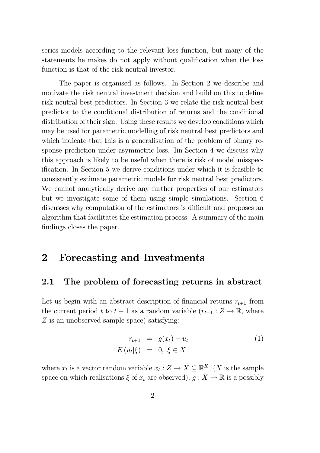series models according to the relevant loss function, but many of the statements he makes do not apply without qualification when the loss function is that of the risk neutral investor.

The paper is organised as follows. In Section 2 we describe and motivate the risk neutral investment decision and build on this to define risk neutral best predictors. In Section 3 we relate the risk neutral best predictor to the conditional distribution of returns and the conditional distribution of their sign. Using these results we develop conditions which may be used for parametric modelling of risk neutral best predictors and which indicate that this is a generalisation of the problem of binary response prediction under asymmetric loss. Iin Section 4 we discuss why this approach is likely to be useful when there is risk of model misspecification. In Section 5 we derive conditions under which it is feasible to consistently estimate parametric models for risk neutral best predictors. We cannot analytically derive any further properties of our estimators but we investigate some of them using simple simulations. Section 6 discusses why computation of the estimators is difficult and proposes an algorithm that facilitates the estimation process. A summary of the main findings closes the paper.

## 2 Forecasting and Investments

## 2.1 The problem of forecasting returns in abstract

Let us begin with an abstract description of financial returns  $r_{t+1}$  from the current period t to  $t + 1$  as a random variable  $(r_{t+1} : Z \to \mathbb{R}$ , where Z is an unobserved sample space) satisfying:

$$
r_{t+1} = g(x_t) + u_t
$$
  
\n
$$
E(u_t|\xi) = 0, \xi \in X
$$
\n(1)

where  $x_t$  is a vector random variable  $x_t : Z \to X \subseteq \mathbb{R}^K$ ,  $(X$  is the sample space on which realisations  $\xi$  of  $x_t$  are observed),  $g: X \to \mathbb{R}$  is a possibly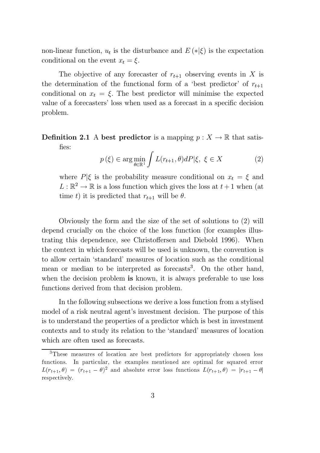non-linear function,  $u_t$  is the disturbance and  $E(*|\xi)$  is the expectation conditional on the event  $x_t = \xi$ .

The objective of any forecaster of  $r_{t+1}$  observing events in X is the determination of the functional form of a 'best predictor' of  $r_{t+1}$ conditional on  $x_t = \xi$ . The best predictor will minimise the expected value of a forecasters' loss when used as a forecast in a specific decision problem.

**Definition 2.1** A best predictor is a mapping  $p: X \to \mathbb{R}$  that satisfies:

$$
p(\xi) \in \arg\min_{\theta \in \mathbb{R}^1} \int L(r_{t+1}, \theta) dP |\xi, \ \xi \in X \tag{2}
$$

where  $P|\xi$  is the probability measure conditional on  $x_t = \xi$  and  $L : \mathbb{R}^2 \to \mathbb{R}$  is a loss function which gives the loss at  $t+1$  when (at time t) it is predicted that  $r_{t+1}$  will be  $\theta$ .

Obviously the form and the size of the set of solutions to (2) will depend crucially on the choice of the loss function (for examples illustrating this dependence, see Christoffersen and Diebold 1996). When the context in which forecasts will be used is unknown, the convention is to allow certain `standard' measures of location such as the conditional mean or median to be interpreted as forecasts<sup>3</sup>. On the other hand, when the decision problem is known, it is always preferable to use loss functions derived from that decision problem.

In the following subsections we derive a loss function from a stylised model of a risk neutral agent's investment decision. The purpose of this is to understand the properties of a predictor which is best in investment contexts and to study its relation to the `standard' measures of location which are often used as forecasts.

<sup>&</sup>lt;sup>3</sup>These measures of location are best predictors for appropriately chosen loss functions. In particular, the examples mentioned are optimal for squared error  $L(r_{t+1}, \theta) = (r_{t+1} - \theta)^2$  and absolute error loss functions  $L(r_{t+1}, \theta) = |r_{t+1} - \theta|$ respectively.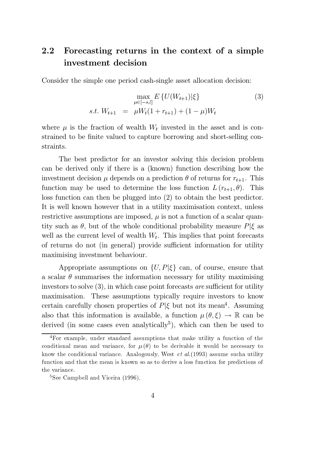## 2.2 Forecasting returns in the context of a simple investment decision

Consider the simple one period cash-single asset allocation decision:

$$
\max_{\mu \in [-s,l]} E\left\{ U(W_{t+1}) | \xi \right\} \tag{3}
$$
  
s.t.  $W_{t+1} = \mu W_t (1 + r_{t+1}) + (1 - \mu) W_t$ 

where  $\mu$  is the fraction of wealth  $W_t$  invested in the asset and is constrained to be finite valued to capture borrowing and short-selling constraints.

The best predictor for an investor solving this decision problem can be derived only if there is a (known) function describing how the investment decision  $\mu$  depends on a prediction  $\theta$  of returns for  $r_{t+1}$ . This function may be used to determine the loss function  $L(r_{t+1}, \theta)$ . This loss function can then be plugged into (2) to obtain the best predictor. It is well known however that in a utility maximisation context, unless restrictive assumptions are imposed,  $\mu$  is not a function of a scalar quantity such as  $\theta$ , but of the whole conditional probability measure  $P|\xi$  as well as the current level of wealth  $W_t$ . This implies that point forecasts of returns do not (in general) provide sufficient information for utility maximising investment behaviour.

Appropriate assumptions on  $\{U, P|\xi\}$  can, of course, ensure that a scalar  $\theta$  summarises the information necessary for utility maximising investors to solve  $(3)$ , in which case point forecasts are sufficient for utility maximisation. These assumptions typically require investors to know certain carefully chosen properties of  $P|\xi$  but not its mean<sup>4</sup>. Assuming also that this information is available, a function  $\mu(\theta,\xi) \to \mathbb{R}$  can be derived (in some cases even analytically<sup>5</sup>), which can then be used to

<sup>&</sup>lt;sup>4</sup>For example, under standard assumptions that make utility a function of the conditional mean and variance, for  $\mu(\theta)$  to be derivable it would be necessary to know the conditional variance. Analogously, West  $et al.$  (1993) assume sucha utility function and that the mean is known so as to derive a loss function for predictions of the variance.

<sup>&</sup>lt;sup>5</sup>See Campbell and Viceira (1996).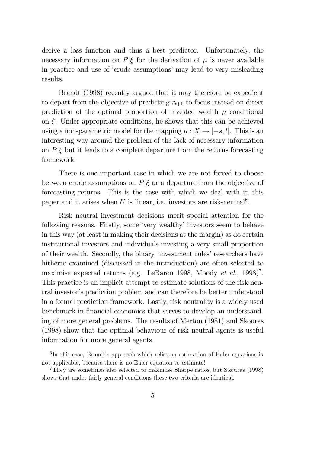derive a loss function and thus a best predictor. Unfortunately, the necessary information on  $P|\xi$  for the derivation of  $\mu$  is never available in practice and use of `crude assumptions' may lead to very misleading results.

Brandt (1998) recently argued that it may therefore be expedient to depart from the objective of predicting  $r_{t+1}$  to focus instead on direct prediction of the optimal proportion of invested wealth  $\mu$  conditional on  $\xi$ . Under appropriate conditions, he shows that this can be achieved using a non-parametric model for the mapping  $\mu : X \to [-s, l]$ . This is an interesting way around the problem of the lack of necessary information on  $P|\xi$  but it leads to a complete departure from the returns forecasting framework.

There is one important case in which we are not forced to choose between crude assumptions on  $P|\xi$  or a departure from the objective of forecasting returns. This is the case with which we deal with in this paper and it arises when U is linear, i.e. investors are risk-neutral<sup>6</sup>.

Risk neutral investment decisions merit special attention for the following reasons. Firstly, some `very wealthy' investors seem to behave in this way (at least in making their decisions at the margin) as do certain institutional investors and individuals investing a very small proportion of their wealth. Secondly, the binary `investment rules' researchers have hitherto examined (discussed in the introduction) are often selected to maximise expected returns (e.g. LeBaron 1998, Moody et al.,  $1998$ )<sup>7</sup>. This practice is an implicit attempt to estimate solutions of the risk neutral investor's prediction problem and can therefore be better understood in a formal prediction framework. Lastly, risk neutrality is a widely used benchmark in financial economics that serves to develop an understanding of more general problems. The results of Merton (1981) and Skouras (1998) show that the optimal behaviour of risk neutral agents is useful information for more general agents.

<sup>&</sup>lt;sup>6</sup>In this case, Brandt's approach which relies on estimation of Euler equations is not applicable, because there is no Euler equation to estimate!

<sup>7</sup>They are sometimes also selected to maximise Sharpe ratios, but Skouras (1998) shows that under fairly general conditions these two criteria are identical.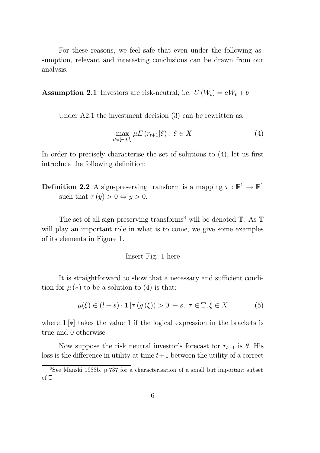For these reasons, we feel safe that even under the following assumption, relevant and interesting conclusions can be drawn from our analysis.

**Assumption 2.1** Investors are risk-neutral, i.e.  $U(W_t) = aW_t + b$ 

Under A2.1 the investment decision (3) can be rewritten as:

$$
\max_{\mu \in [-s,l]} \mu E\left(r_{t+1}|\xi\right), \ \xi \in X \tag{4}
$$

In order to precisely characterise the set of solutions to  $(4)$ , let us first introduce the following definition:

**Definition 2.2** A sign-preserving transform is a mapping  $\tau : \mathbb{R}^1 \to \mathbb{R}^1$ such that  $\tau(y) > 0 \Leftrightarrow y > 0$ .

The set of all sign preserving transforms<sup>8</sup> will be denoted  $\mathbb{T}$ . As  $\mathbb{T}$ will play an important role in what is to come, we give some examples of its elements in Figure 1.

#### Insert Fig. 1 here

It is straightforward to show that a necessary and sufficient condition for  $\mu(*)$  to be a solution to (4) is that:

$$
\mu(\xi) \in (l+s) \cdot \mathbf{1} \left[ \tau(g(\xi)) > 0 \right] - s, \ \tau \in \mathbb{T}, \xi \in X \tag{5}
$$

where  $1 \times$  takes the value 1 if the logical expression in the brackets is true and 0 otherwise.

Now suppose the risk neutral investor's forecast for  $r_{t+1}$  is  $\theta$ . His loss is the difference in utility at time  $t+1$  between the utility of a correct

<sup>8</sup>See Manski 1988b, p.737 for a characterisation of a small but important subset of T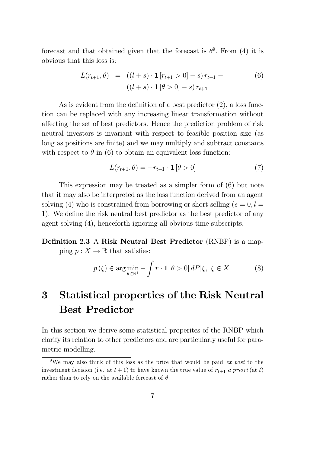forecast and that obtained given that the forecast is  $\theta^9$ . From (4) it is obvious that this loss is:

$$
L(r_{t+1}, \theta) = ((l+s) \cdot \mathbf{1} [r_{t+1} > 0] - s) r_{t+1} -
$$
  

$$
((l+s) \cdot \mathbf{1} [\theta > 0] - s) r_{t+1}
$$
 (6)

As is evident from the definition of a best predictor  $(2)$ , a loss function can be replaced with any increasing linear transformation without affecting the set of best predictors. Hence the prediction problem of risk neutral investors is invariant with respect to feasible position size (as long as positions are finite) and we may multiply and subtract constants with respect to  $\theta$  in (6) to obtain an equivalent loss function:

$$
L(r_{t+1}, \theta) = -r_{t+1} \cdot \mathbf{1} \left[ \theta > 0 \right] \tag{7}
$$

This expression may be treated as a simpler form of (6) but note that it may also be interpreted as the loss function derived from an agent solving (4) who is constrained from borrowing or short-selling  $(s = 0, l =$ 1). We define the risk neutral best predictor as the best predictor of any agent solving (4), henceforth ignoring all obvious time subscripts.

## Definition 2.3 A Risk Neutral Best Predictor (RNBP) is a mapping  $p : X \to \mathbb{R}$  that satisfies:

$$
p(\xi) \in \arg\min_{\theta \in \mathbb{R}^1} - \int r \cdot \mathbf{1} \left[ \theta > 0 \right] dP |\xi, \ \xi \in X \tag{8}
$$

# 3 Statistical properties of the Risk Neutral Best Predictor

In this section we derive some statistical properites of the RNBP which clarify its relation to other predictors and are particularly useful for parametric modelling.

<sup>&</sup>lt;sup>9</sup>We may also think of this loss as the price that would be paid *ex post* to the investment decision (i.e. at  $t + 1$ ) to have known the true value of  $r_{t+1}$  a priori (at t) rather than to rely on the available forecast of  $\theta$ .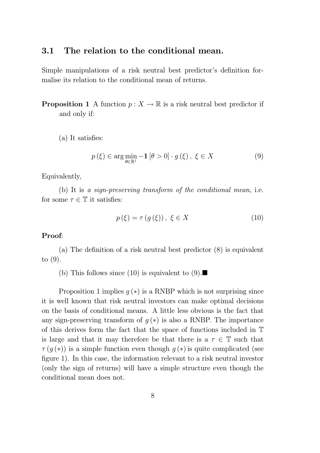### 3.1 The relation to the conditional mean.

Simple manipulations of a risk neutral best predictor's definition formalise its relation to the conditional mean of returns.

**Proposition 1** A function  $p: X \to \mathbb{R}$  is a risk neutral best predictor if and only if:

 $(a)$  It satisfies:

$$
p(\xi) \in \arg\min_{\theta \in \mathbb{R}^1} -\mathbf{1} \left[ \theta > 0 \right] \cdot g(\xi), \ \xi \in X \tag{9}
$$

Equivalently,

(b) It is a sign-preserving transform of the conditional mean, i.e. for some  $\tau \in \mathbb{T}$  it satisfies:

$$
p(\xi) = \tau(g(\xi)), \xi \in X \tag{10}
$$

#### Proof:

(a) The definition of a risk neutral best predictor  $(8)$  is equivalent to (9).

(b) This follows since (10) is equivalent to (9).

Proposition 1 implies  $g(*)$  is a RNBP which is not surprising since it is well known that risk neutral investors can make optimal decisions on the basis of conditional means. A little less obvious is the fact that any sign-preserving transform of  $g(*)$  is also a RNBP. The importance of this derives form the fact that the space of functions included in T is large and that it may therefore be that there is a  $\tau \in \mathbb{T}$  such that  $\tau(g(*)$ ) is a simple function even though  $g(*)$  is quite complicated (see figure 1). In this case, the information relevant to a risk neutral investor (only the sign of returns) will have a simple structure even though the conditional mean does not.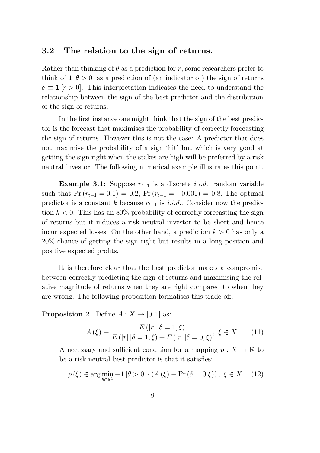## 3.2 The relation to the sign of returns.

Rather than thinking of  $\theta$  as a prediction for r, some researchers prefer to think of  $1 \times 0$  as a prediction of (an indicator of) the sign of returns  $\delta \equiv 1 \, |r > 0|$ . This interpretation indicates the need to understand the relationship between the sign of the best predictor and the distribution of the sign of returns.

In the first instance one might think that the sign of the best predictor is the forecast that maximises the probability of correctly forecasting the sign of returns. However this is not the case: A predictor that does not maximise the probability of a sign 'hit' but which is very good at getting the sign right when the stakes are high will be preferred by a risk neutral investor. The following numerical example illustrates this point.

**Example 3.1:** Suppose  $r_{t+1}$  is a discrete *i.i.d.* random variable such that  $Pr (r_{t+1} = 0.1) = 0.2$ ,  $Pr (r_{t+1} = -0.001) = 0.8$ . The optimal predictor is a constant k because  $r_{t+1}$  is i.i.d.. Consider now the prediction  $k < 0$ . This has an 80% probability of correctly forecasting the sign of returns but it induces a risk neutral investor to be short and hence incur expected losses. On the other hand, a prediction  $k > 0$  has only a 20% chance of getting the sign right but results in a long position and positive expected profits.

It is therefore clear that the best predictor makes a compromise between correctly predicting the sign of returns and maximising the relative magnitude of returns when they are right compared to when they are wrong. The following proposition formalises this trade-off.

**Proposition 2** Define  $A: X \rightarrow [0, 1]$  as:

$$
A(\xi) \equiv \frac{E(|r||\delta = 1, \xi)}{E(|r||\delta = 1, \xi) + E(|r||\delta = 0, \xi)}, \xi \in X \qquad (11)
$$

A necessary and sufficient condition for a mapping  $p : X \to \mathbb{R}$  to be a risk neutral best predictor is that it satisfies:

$$
p(\xi) \in \arg\min_{\theta \in \mathbb{R}^1} -\mathbf{1} \left[ \theta > 0 \right] \cdot \left( A\left(\xi\right) - \Pr\left(\delta = 0|\xi\right) \right), \ \xi \in X \tag{12}
$$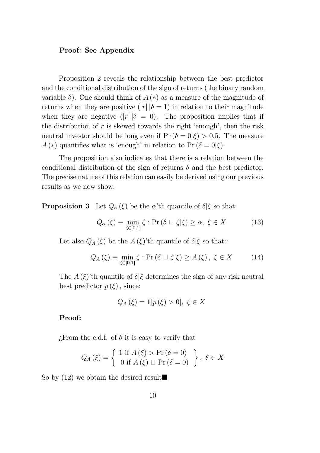#### Proof: See Appendix

Proposition 2 reveals the relationship between the best predictor and the conditional distribution of the sign of returns (the binary random variable  $\delta$ ). One should think of  $A (*)$  as a measure of the magnitude of returns when they are positive  $(|r| |\delta = 1)$  in relation to their magnitude when they are negative  $(|r| |\delta = 0)$ . The proposition implies that if the distribution of  $r$  is skewed towards the right 'enough', then the risk neutral investor should be long even if  $Pr(\delta = 0|\xi) > 0.5$ . The measure  $A(*)$  quantifies what is 'enough' in relation to Pr ( $\delta = 0|\xi$ ).

The proposition also indicates that there is a relation between the conditional distribution of the sign of returns  $\delta$  and the best predictor. The precise nature of this relation can easily be derived using our previous results as we now show.

**Proposition 3** Let  $Q_{\alpha}(\xi)$  be the  $\alpha'$ <sup>th</sup> quantile of  $\delta|\xi$  so that:

$$
Q_{\alpha}(\xi) \equiv \min_{\zeta \in [0,1]} \zeta : \Pr\left(\delta \sqcup \zeta | \xi\right) \ge \alpha, \ \xi \in X \tag{13}
$$

Let also  $Q_A(\xi)$  be the  $A(\xi)$ 'th quantile of  $\delta|\xi$  so that::

$$
Q_A(\xi) \equiv \min_{\zeta \in [0,1]} \zeta : \Pr\left(\delta \sqcup \zeta | \xi\right) \ge A\left(\xi\right), \ \xi \in X \tag{14}
$$

The  $A(\xi)$ 'th quantile of  $\delta \xi$  determines the sign of any risk neutral best predictor  $p(\xi)$ , since:

$$
Q_A(\xi) = \mathbf{1}[p(\xi) > 0], \xi \in X
$$

### Proof:

. From the c.d.f. of  $\delta$  it is easy to verify that

$$
Q_A(\xi) = \left\{ \begin{array}{c} 1 \text{ if } A(\xi) > \Pr(\delta = 0) \\ 0 \text{ if } A(\xi) \Box \Pr(\delta = 0) \end{array} \right\}, \ \xi \in X
$$

So by (12) we obtain the desired result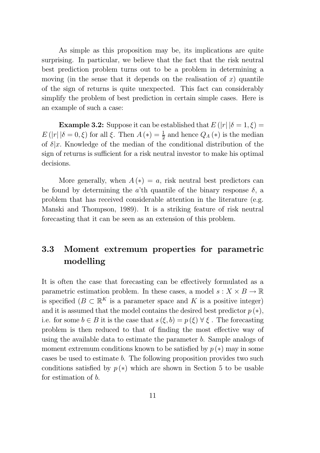As simple as this proposition may be, its implications are quite surprising. In particular, we believe that the fact that the risk neutral best prediction problem turns out to be a problem in determining a moving (in the sense that it depends on the realisation of  $x$ ) quantile of the sign of returns is quite unexpected. This fact can considerably simplify the problem of best prediction in certain simple cases. Here is an example of such a case:

**Example 3.2:** Suppose it can be established that  $E(|r| |\delta = 1, \xi) =$  $E(|r| |\delta = 0,\xi)$  for all  $\xi$ . Then  $A(\ast) = \frac{1}{2}$  and hence  $Q_A(\ast)$  is the median of  $\delta |x|$ . Knowledge of the median of the conditional distribution of the sign of returns is sufficient for a risk neutral investor to make his optimal decisions.

More generally, when  $A(*) = a$ , risk neutral best predictors can be found by determining the a'th quantile of the binary response  $\delta$ , a problem that has received considerable attention in the literature (e.g. Manski and Thompson, 1989). It is a striking feature of risk neutral forecasting that it can be seen as an extension of this problem.

## 3.3 Moment extremum properties for parametric modelling

It is often the case that forecasting can be effectively formulated as a parametric estimation problem. In these cases, a model  $s: X \times B \to \mathbb{R}$ is specified  $(B \subset \mathbb{R}^K)$  is a parameter space and K is a positive integer) and it is assumed that the model contains the desired best predictor  $p(*)$ , i.e. for some  $b \in B$  it is the case that  $s(\xi, b) = p(\xi) \,\forall \xi$ . The forecasting problem is then reduced to that of finding the most effective way of using the available data to estimate the parameter b. Sample analogs of moment extremum conditions known to be satisfied by  $p(*)$  may in some cases be used to estimate b. The following proposition provides two such conditions satisfied by  $p(*)$  which are shown in Section 5 to be usable for estimation of b.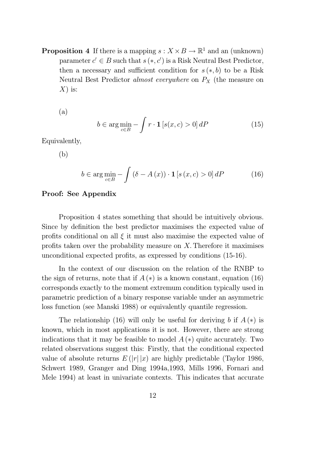**Proposition 4** If there is a mapping  $s: X \times B \to \mathbb{R}^1$  and an (unknown) parameter  $c' \in B$  such that  $s(*, c')$  is a Risk Neutral Best Predictor, then a necessary and sufficient condition for  $s(*, b)$  to be a Risk Neutral Best Predictor *almost everywhere* on  $P_X$  (the measure on  $X$ ) is:

(a)

$$
b \in \arg\min_{c \in B} -\int r \cdot \mathbf{1} \left[ s(x, c) > 0 \right] dP \tag{15}
$$

Equivalently,

(b)

$$
b \in \arg\min_{c \in B} -\int \left(\delta - A\left(x\right)\right) \cdot \mathbf{1}\left[s\left(x, c\right) > 0\right] dP \tag{16}
$$

#### Proof: See Appendix

Proposition 4 states something that should be intuitively obvious. Since by definition the best predictor maximises the expected value of profits conditional on all  $\xi$  it must also maximise the expected value of profits taken over the probability measure on  $X$ . Therefore it maximises unconditional expected profits, as expressed by conditions  $(15-16)$ .

In the context of our discussion on the relation of the RNBP to the sign of returns, note that if  $A(*)$  is a known constant, equation (16) corresponds exactly to the moment extremum condition typically used in parametric prediction of a binary response variable under an asymmetric loss function (see Manski 1988) or equivalently quantile regression.

The relationship (16) will only be useful for deriving b if  $A(*)$  is known, which in most applications it is not. However, there are strong indications that it may be feasible to model  $A(*)$  quite accurately. Two related observations suggest this: Firstly, that the conditional expected value of absolute returns  $E(|r| |x)$  are highly predictable (Taylor 1986, Schwert 1989, Granger and Ding 1994a,1993, Mills 1996, Fornari and Mele 1994) at least in univariate contexts. This indicates that accurate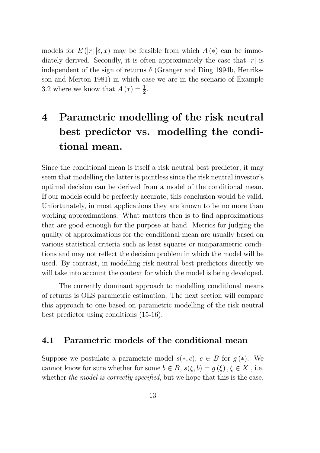models for  $E(|r|\delta,x)$  may be feasible from which  $A(*)$  can be immediately derived. Secondly, it is often approximately the case that  $|r|$  is independent of the sign of returns  $\delta$  (Granger and Ding 1994b, Henriksson and Merton 1981) in which case we are in the scenario of Example 3.2 where we know that  $A(*) = \frac{1}{2}$ .

# 4 Parametric modelling of the risk neutral best predictor vs. modelling the conditional mean.

Since the conditional mean is itself a risk neutral best predictor, it may seem that modelling the latter is pointless since the risk neutral investor's optimal decision can be derived from a model of the conditional mean. If our models could be perfectly accurate, this conclusion would be valid. Unfortunately, in most applications they are known to be no more than working approximations. What matters then is to find approximations that are good ecnough for the purpose at hand. Metrics for judging the quality of approximations for the conditional mean are usually based on various statistical criteria such as least squares or nonparametric conditions and may not reflect the decision problem in which the model will be used. By contrast, in modelling risk neutral best predictors directly we will take into account the context for which the model is being developed.

The currently dominant approach to modelling conditional means of returns is OLS parametric estimation. The next section will compare this approach to one based on parametric modelling of the risk neutral best predictor using conditions (15-16).

### 4.1 Parametric models of the conditional mean

Suppose we postulate a parametric model  $s(*, c)$ ,  $c \in B$  for  $g(*)$ . We cannot know for sure whether for some  $b \in B$ ,  $s(\xi, b) = g(\xi)$ ,  $\xi \in X$ , i.e. whether the model is correctly specified, but we hope that this is the case.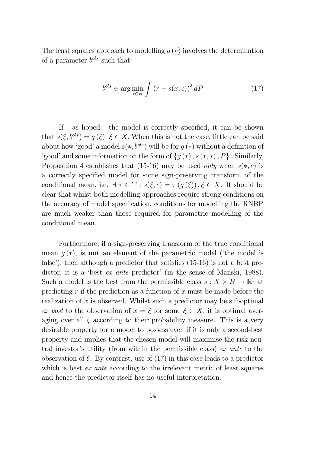The least squares approach to modelling  $g(*)$  involves the determination of a parameter  $b^{ols}$  such that:

$$
b^{ols} \in \arg\min_{c \in B} \int (r - s(x, c))^2 dP \tag{17}
$$

If - as hoped - the model is correctly specified, it can be shown that  $s(\xi, b^{ols}) = g(\xi), \xi \in X$ . When this is not the case, little can be said about how 'good' a model  $s(*,b^{ols})$  will be for  $g(*)$  without a definition of 'good' and some information on the form of  $\{g (*), s (*, *)$ ,  $P\}$ . Similarly, Proposition 4 establishes that (15-16) may be used only when  $s(*, c)$  is a correctly specified model for some sign-preserving transform of the conditional mean, i.e.  $\exists \tau \in \mathbb{T} : s(\xi, c) = \tau(g(\xi)), \xi \in X$ . It should be clear that whilst both modelling approaches require strong conditions on the accuracy of model specification, conditions for modelling the RNBP are much weaker than those required for parametric modelling of the conditional mean.

Furthermore, if a sign-preserving transform of the true conditional mean  $g(*)$ , is **not** an element of the parametric model ('the model is false'), then although a predictor that satisfies  $(15-16)$  is not a best predictor, it is a 'best *ex ante* predictor' (in the sense of Manski, 1988). Such a model is the best from the permissible class  $s : X \times B \to \mathbb{R}^1$  at predicting  $r$  if the prediction as a function of  $x$  must be made before the realization of  $x$  is observed. Whilst such a predictor may be suboptimal ex post to the observation of  $x = \xi$  for some  $\xi \in X$ , it is optimal averaging over all  $\xi$  according to their probability measure. This is a very desirable property for a model to possess even if it is only a second-best property and implies that the chosen model will maximise the risk neutral investor's utility (from within the permissible class) ex ante to the observation of  $\xi$ . By contrast, use of (17) in this case leads to a predictor which is best *ex ante* according to the irrelevant metric of least squares and hence the predictor itself has no useful interpretation.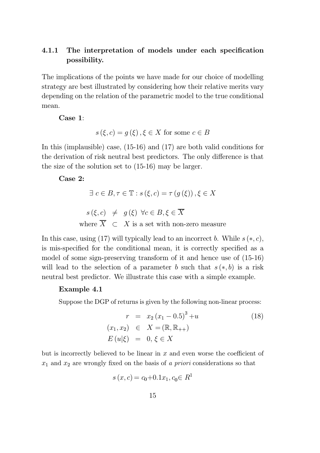## 4.1.1 The interpretation of models under each specification possibility.

The implications of the points we have made for our choice of modelling strategy are best illustrated by considering how their relative merits vary depending on the relation of the parametric model to the true conditional mean.

Case 1:

$$
s(\xi, c) = g(\xi), \xi \in X \text{ for some } c \in B
$$

In this (implausible) case, (15-16) and (17) are both valid conditions for the derivation of risk neutral best predictors. The only difference is that the size of the solution set to (15-16) may be larger.

Case 2:

$$
\exists c \in B, \tau \in \mathbb{T} : s(\xi, c) = \tau(g(\xi)), \xi \in X
$$
  

$$
s(\xi, c) \neq g(\xi) \forall c \in B, \xi \in \overline{X}
$$

where  $\overline{X}$   $\subset$  X is a set with non-zero measure

In this case, using (17) will typically lead to an incorrect b. While  $s(*, c)$ , is mis-specified for the conditional mean, it is correctly specified as a model of some sign-preserving transform of it and hence use of (15-16) will lead to the selection of a parameter b such that  $s(*, b)$  is a risk neutral best predictor. We illustrate this case with a simple example.

#### Example 4.1

Suppose the DGP of returns is given by the following non-linear process:

$$
r = x_2 (x_1 - 0.5)^3 + u
$$
  
\n
$$
(x_1, x_2) \in X = (\mathbb{R}, \mathbb{R}_{++})
$$
  
\n
$$
E(u|\xi) = 0, \xi \in X
$$
\n(18)

but is incorrectly believed to be linear in  $x$  and even worse the coefficient of  $x_1$  and  $x_2$  are wrongly fixed on the basis of a priori considerations so that

$$
s(x, c) = c_0 + 0.1x_1, c_0 \in R^1
$$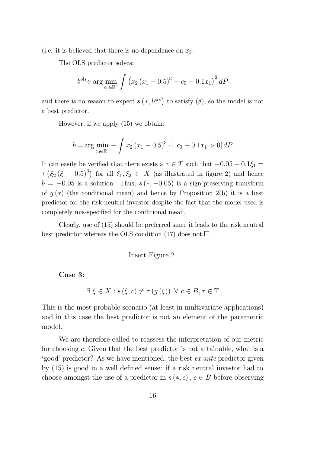(i.e. it is believed that there is no dependence on  $x_2$ .

The OLS predictor solves:

$$
b^{ols} \in \arg\min_{c_0 \in \mathbb{R}^1} \int \left( x_2 \left( x_1 - 0.5 \right)^3 - c_0 - 0.1 x_1 \right)^2 dP
$$

and there is no reason to expect  $s(*,b^{ols})$  to satisfy (8), so the model is not a best predictor.

However, if we apply (15) we obtain:

$$
b = \arg \min_{c_0 \in \mathbb{R}^1} - \int x_2 (x_1 - 0.5)^3 \cdot 1 [c_0 + 0.1x_1 > 0] dP
$$

It can easily be verified that there exists a  $\tau \in T$  such that  $-0.05 + 0.1\xi_1 =$  $\tau\left(\xi_2\left(\xi_1-0.5\right)^3\right)$  for all  $\xi_1,\xi_2 \in X$  (as illustrated in figure 2) and hence  $b = -0.05$  is a solution. Thus,  $s (*, -0.05)$  is a sign-preserving transform of  $g(*)$  (the conditional mean) and hence by Proposition 2(b) it is a best predictor for the risk-neutral investor despite the fact that the model used is completely mis-specified for the conditional mean.

Clearly, use of (15) should be preferred since it leads to the risk neutral best predictor whereas the OLS condition (17) does not. $\Box$ 

#### Insert Figure 2

Case 3:

$$
\exists \xi \in X : s(\xi, c) \neq \tau(g(\xi)) \ \forall \ c \in B, \tau \in \mathbb{T}
$$

This is the most probable scenario (at least in multivariate applications) and in this case the best predictor is not an element of the parametric model.

We are therefore called to reassess the interpretation of our metric for choosing c: Given that the best predictor is not attainable, what is a `good' predictor? As we have mentioned, the best ex ante predictor given by  $(15)$  is good in a well defined sense: if a risk neutral investor had to choose amongst the use of a predictor in  $s(*, c)$ ,  $c \in B$  before observing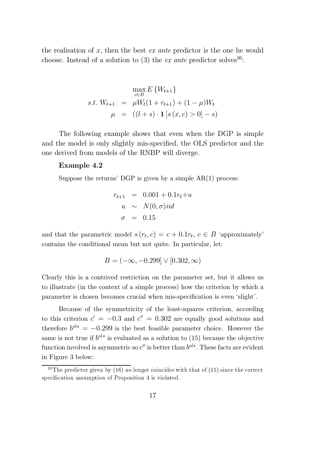the realisation of  $x$ , then the best  $ex$  ante predictor is the one he would choose. Instead of a solution to (3) the ex ante predictor solves<sup>10</sup>:

$$
\max_{c \in B} E\{W_{t+1}\}\
$$
  
s.t.  $W_{t+1} = \mu W_t (1 + r_{t+1}) + (1 - \mu) W_t$   
 $\mu = ((l+s) \cdot \mathbf{1}[s(x, c) > 0] - s)$ 

The following example shows that even when the DGP is simple and the model is only slightly mis-specified, the OLS predictor and the one derived from models of the RNBP will diverge.

#### Example 4.2

Suppose the returns' DGP is given by a simple  $AR(1)$  process:

$$
r_{t+1} = 0.001 + 0.1r_t + u
$$
  

$$
u \sim N(0, \sigma) \text{iid}
$$
  

$$
\sigma = 0.15
$$

and that the parametric model  $s(r_t, c) = c + 0.1r_t, c \in B$  'approximately' contains the conditional mean but not quite. In particular, let:

$$
B = (-\infty, -0.299] \vee [0.302, \infty)
$$

Clearly this is a contrived restriction on the parameter set, but it allows us to illustrate (in the context of a simple process) how the criterion by which a parameter is chosen becomes crucial when mis-specification is even 'slight'.

Because of the symmetricity of the least-squares criterion, according to this criterion  $c' = -0.3$  and  $c'' = 0.302$  are equally good solutions and therefore  $b^{ols} = -0.299$  is the best feasible parameter choice. However the same is not true if  $b^{ols}$  is evaluated as a solution to (15) because the objective function involved is asymmetric so  $c''$  is better than  $b^{ols}$ . These facts are evident in Figure 3 below:

<sup>&</sup>lt;sup>10</sup>The predictor given by (16) no longer coincides with that of (15) since the correct specification assumption of Proposition 4 is violated.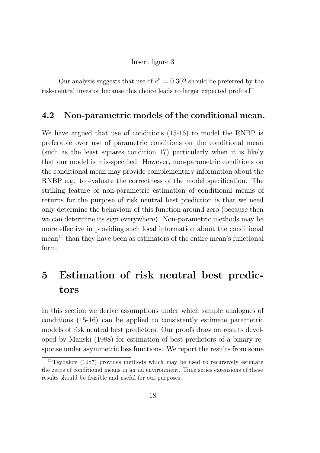#### Insert figure 3

Our analysis suggests that use of  $c'' = 0.302$  should be preferred by the risk-neutral investor because this choice leads to larger expected profits. $\Box$ 

## 4.2 Non-parametric models of the conditional mean.

We have argued that use of conditions (15-16) to model the RNBP is preferable over use of parametric conditions on the conditional mean (such as the least squares condition 17) particularly when it is likely that our model is mis-specified. However, non-parametric conditions on the conditional mean may provide complementary information about the RNBP e.g. to evaluate the correctness of the model specification. The striking feature of non-parametric estimation of conditional means of returns for the purpose of risk neutral best prediction is that we need only determine the behaviour of this function around zero (because then we can determine its sign everywhere). Non-parametric methods may be more effective in providing such local information about the conditional  $mean<sup>11</sup>$  than they have been as estimators of the entire mean's functional form.

# 5 Estimation of risk neutral best predictors

In this section we derive assumptions under which sample analogues of conditions (15-16) can be applied to consistently estimate parametric models of risk neutral best predictors. Our proofs draw on results developed by Manski (1988) for estimation of best predictors of a binary response under asymmetric loss functions. We report the results from some

 $11$ Tsybakov (1987) provides methods which may be used to recursively estimate the zeros of conditional means in an iid environment. Time series extensions of these results should be feasible and useful for our purposes.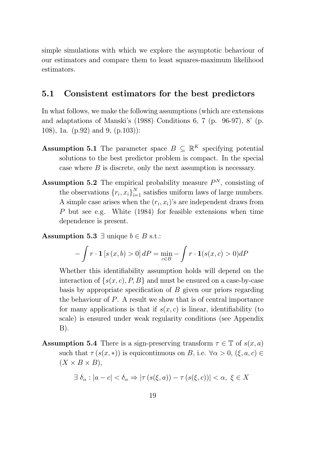simple simulations with which we explore the asymptotic behaviour of our estimators and compare them to least squares-maximum likelihood estimators.

## 5.1 Consistent estimators for the best predictors

In what follows, we make the following assumptions (which are extensions and adaptations of Manski's (1988) Conditions 6, 7 (p. 96-97), 8' (p. 108), 1a. (p.92) and 9, (p.103)):

- **Assumption 5.1** The parameter space  $B \subseteq \mathbb{R}^K$  specifying potential solutions to the best predictor problem is compact. In the special case where B is discrete, only the next assumption is necessary.
- **Assumption 5.2** The empirical probability measure  $P<sup>N</sup>$ , consisting of the observations  $\{r_i, x_i\}_{i=1}^N$  satisfies uniform laws of large numbers. A simple case arises when the  $(r_i, x_i)$ 's are independent draws from P but see e.g. White (1984) for feasible extensions when time dependence is present.

**Assumption 5.3**  $\exists$  unique  $b \in B$  s.t.:

$$
-\int r \cdot \mathbf{1} \left[ s \left( x, b \right) > 0 \right] dP = \min_{c \in B} - \int r \cdot \mathbf{1} (s(x, c) > 0) dP
$$

Whether this identifiability assumption holds will depend on the interaction of  $\{s(x, c), P, B\}$  and must be ensured on a case-by-case basis by appropriate specification of  $B$  given our priors regarding the behaviour of P. A result we show that is of central importance for many applications is that if  $s(x, c)$  is linear, identifiability (to scale) is ensured under weak regularity conditions (see Appendix B).

**Assumption 5.4** There is a sign-preserving transform  $\tau \in \mathbb{T}$  of  $s(x, a)$ such that  $\tau(s(x,*))$  is equicontinuous on B, i.e.  $\forall \alpha > 0, (\xi, a, c) \in$  $(X \times B \times B),$ 

$$
\exists \delta_{\alpha} : |a - c| < \delta_{\alpha} \Rightarrow |\tau(s(\xi, a)) - \tau(s(\xi, c))| < \alpha, \xi \in X
$$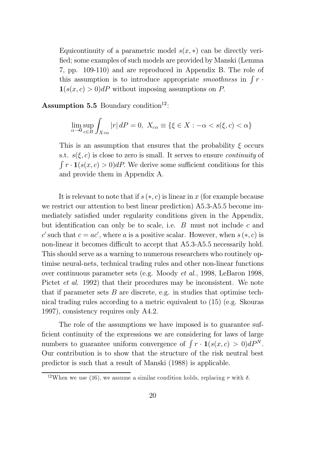Equicontinuity of a parametric model  $s(x, *)$  can be directly verified; some examples of such models are provided by Manski (Lemma 7, pp. 109-110) and are reproduced in Appendix B. The role of this assumption is to introduce appropriate *smoothness* in  $\int r \cdot$  $\mathbf{1}(s(x, c) > 0)dP$  without imposing assumptions on P.

Assumption 5.5 Boundary condition<sup>12</sup>:

$$
\lim_{\alpha \to 0} \sup_{c \in B} \int_{X_{c\alpha}} |r| dP = 0, \ X_{c\alpha} \equiv \{ \xi \in X : -\alpha < s(\xi, c) < \alpha \}
$$

This is an assumption that ensures that the probability  $\xi$  occurs s.t.  $s(\xi, c)$  is close to zero is small. It serves to ensure *continuity* of  $\int r \cdot \mathbf{1}(s(x, c) > 0) dP$ . We derive some sufficient conditions for this and provide them in Appendix A.

It is relevant to note that if  $s(*, c)$  is linear in x (for example because we restrict our attention to best linear prediction) A5.3-A5.5 become immediately satisfied under regularity conditions given in the Appendix, but identification can only be to scale, i.e.  $B$  must not include  $c$  and c' such that  $c = ac'$ , where a is a positive scalar. However, when  $s(*, c)$  is non-linear it becomes difficult to accept that A5.3-A5.5 necessarily hold. This should serve as a warning to numerous researchers who routinely optimise neural-nets, technical trading rules and other non-linear functions over continuous parameter sets (e.g. Moody et al., 1998, LeBaron 1998, Pictet et al. 1992) that their procedures may be inconsistent. We note that if parameter sets  $B$  are discrete, e.g. in studies that optimise technical trading rules according to a metric equivalent to (15) (e.g. Skouras 1997), consistency requires only A4.2.

The role of the assumptions we have imposed is to guarantee suf ficient continuity of the expressions we are considering for laws of large numbers to guarantee uniform convergence of  $\int r \cdot \mathbf{1}(s(x, c) > 0) dP^N$ . Our contribution is to show that the structure of the risk neutral best predictor is such that a result of Manski (1988) is applicable.

<sup>&</sup>lt;sup>12</sup>When we use (16), we assume a similar condition holds, replacing r with  $\delta$ .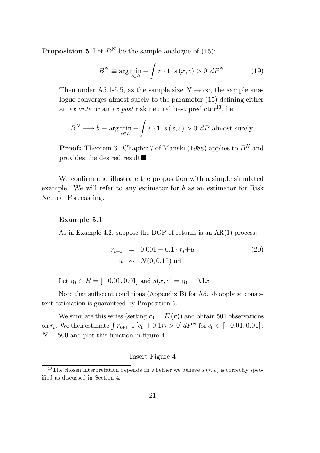**Proposition 5** Let  $B^N$  be the sample analogue of (15):

$$
B^{N} \equiv \arg\min_{c \in B} -\int r \cdot \mathbf{1} \left[ s \left( x, c \right) > 0 \right] dP^{N} \tag{19}
$$

Then under A5.1-5.5, as the sample size  $N \to \infty$ , the sample analogue converges almost surely to the parameter  $(15)$  defining either an ex ante or an ex post risk neutral best predictor<sup>13</sup>, i.e.

$$
B^{N} \longrightarrow b \equiv \arg \min_{c \in B} - \int r \cdot \mathbf{1} \left[ s \left( x, c \right) > 0 \right] dP
$$
 almost surely

**Proof:** Theorem 3', Chapter 7 of Manski (1988) applies to  $B<sup>N</sup>$  and provides the desired result $\blacksquare$ 

We confirm and illustrate the proposition with a simple simulated example. We will refer to any estimator for b as an estimator for Risk Neutral Forecasting.

#### Example 5.1

As in Example 4.2, suppose the DGP of returns is an AR(1) process:

$$
r_{t+1} = 0.001 + 0.1 \cdot r_t + u \tag{20}
$$
  
 
$$
u \sim N(0, 0.15) \text{ iid}
$$

Let  $c_0 \in B = [-0.01, 0.01]$  and  $s(x, c) = c_0 + 0.1x$ 

Note that sufficient conditions (Appendix B) for  $A5.1-5$  apply so consistent estimation is guaranteed by Proposition 5.

We simulate this series (setting  $r_0 = E(r)$ ) and obtain 501 observations on  $r_t$ . We then estimate  $\int r_{t+1} \cdot 1$   $[c_0 + 0.1r_t > 0] dP^N$  for  $c_0 \in [-0.01, 0.01]$ ,  $N = 500$  and plot this function in figure 4.

#### Insert Figure 4

<sup>&</sup>lt;sup>13</sup>The chosen interpretation depends on whether we believe  $s(*, c)$  is correctly specified as discussed in Section 4.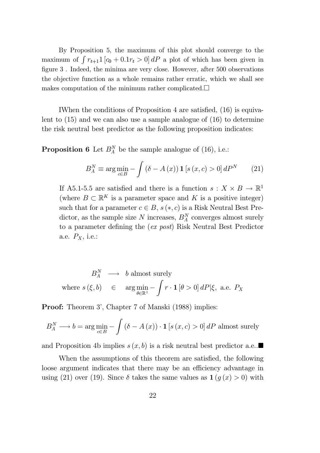By Proposition 5, the maximum of this plot should converge to the maximum of  $\int r_{t+1} 1 [c_0 + 0.1r_t > 0] dP$  a plot of which has been given in figure 3. Indeed, the minima are very close. However, after 500 observations the objective function as a whole remains rather erratic, which we shall see makes computation of the minimum rather complicated. $\Box$ 

IWhen the conditions of Proposition 4 are satisfied,  $(16)$  is equivalent to (15) and we can also use a sample analogue of (16) to determine the risk neutral best predictor as the following proposition indicates:

**Proposition 6** Let  $B_A^N$  be the sample analogue of (16), i.e.:

$$
B_A^N \equiv \arg\min_{c \in B} -\int \left(\delta - A\left(x\right)\right) \mathbf{1}\left[s\left(x, c\right) > 0\right] dP^N \tag{21}
$$

If A5.1-5.5 are satisfied and there is a function  $s: X \times B \to \mathbb{R}^1$ (where  $B \subset \mathbb{R}^K$  is a parameter space and K is a positive integer) such that for a parameter  $c \in B$ ,  $s (*, c)$  is a Risk Neutral Best Predictor, as the sample size N increases,  $B_A^N$  converges almost surely to a parameter defining the *(ex post)* Risk Neutral Best Predictor a.e.  $P_X$ , i.e.:

 $B_A^N \longrightarrow b$  almost surely where  $s(\xi, b) \in \arg \min_{\theta \in \mathbb{R}^1} -$ Z  $r \cdot \mathbf{1} \left[ \theta > 0 \right] dP | \xi, \text{ a.e. } P_X$ 

**Proof:** Theorem 3', Chapter 7 of Manski (1988) implies:

$$
B_A^N \longrightarrow b = \arg \min_{c \in B} - \int (\delta - A(x)) \cdot \mathbf{1} \left[ s(x, c) > 0 \right] dP
$$
 almost surely

and Proposition 4b implies  $s(x, b)$  is a risk neutral best predictor a.e.

When the assumptions of this theorem are satisfied, the following loose argument indicates that there may be an efficiency advantage in using (21) over (19). Since  $\delta$  takes the same values as  $\mathbf{1} (g(x) > 0)$  with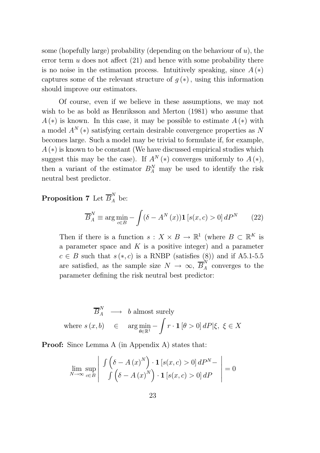some (hopefully large) probability (depending on the behaviour of  $u$ ), the error term  $u$  does not affect  $(21)$  and hence with some probability there is no noise in the estimation process. Intuitively speaking, since  $A(*)$ captures some of the relevant structure of  $q(*)$ , using this information should improve our estimators.

Of course, even if we believe in these assumptions, we may not wish to be as bold as Henriksson and Merton (1981) who assume that  $A(*)$  is known. In this case, it may be possible to estimate  $A(*)$  with a model  $A^N(*)$  satisfying certain desirable convergence properties as N becomes large. Such a model may be trivial to formulate if, for example,  $A(*)$  is known to be constant (We have discussed empirical studies which suggest this may be the case). If  $A^N (*)$  converges uniformly to  $A (*)$ , then a variant of the estimator  $B_A^N$  may be used to identify the risk neutral best predictor.

## **Proposition 7** Let  $\overline{B}_A^N$  be:

$$
\overline{B}_A^N \equiv \arg\min_{c \in B} - \int (\delta - A^N(x)) \mathbf{1} \left[ s(x, c) > 0 \right] dP^N \tag{22}
$$

Then if there is a function  $s: X \times B \to \mathbb{R}^1$  (where  $B \subset \mathbb{R}^K$  is a parameter space and  $K$  is a positive integer) and a parameter  $c \in B$  such that  $s (*, c)$  is a RNBP (satisfies  $(8)$ ) and if A5.1-5.5 are satisfied, as the sample size  $N \to \infty$ ,  $\overline{B}_{A}^{N}$  converges to the parameter defining the risk neutral best predictor:

$$
\overline{B}_A^N \longrightarrow b \text{ almost surely}
$$
  
where  $s(x, b) \in \arg \min_{\theta \in \mathbb{R}^1} - \int r \cdot \mathbf{1}[\theta > 0] dP |\xi, \xi \in X$ 

Proof: Since Lemma A (in Appendix A) states that:

$$
\lim_{N \to \infty} \sup_{c \in B} \left| \left| \left| \left( \frac{\delta - A(x)^N}{\int (\delta - A(x)^N)} \cdot \mathbf{1} \left[ s(x, c) > 0 \right] dP^N - \right| \right| \right| = 0
$$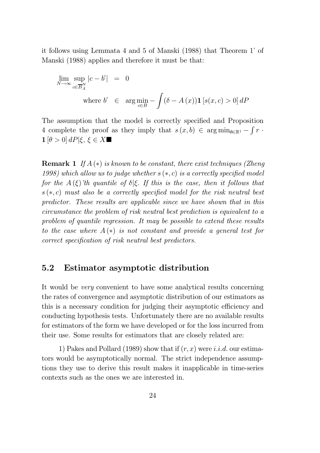it follows using Lemmata 4 and 5 of Manski (1988) that Theorem 1' of Manski (1988) applies and therefore it must be that:

$$
\lim_{N \to \infty} \sup_{c \in \overline{B}_A^N} |c - b'| = 0
$$
\nwhere  $b' \in \arg \min_{c \in B} - \int (\delta - A(x)) \mathbf{1} [s(x, c) > 0] \, dP$ 

The assumption that the model is correctly specified and Proposition 4 complete the proof as they imply that  $s(x, b) \in \arg \min_{\theta \in \mathbb{R}^1} - \int r \cdot$  $1 [\theta > 0] dP |\xi, \xi \in X \blacksquare$ 

**Remark 1** If  $A$  ( $*$ ) is known to be constant, there exist techniques (Zheng 1998) which allow us to judge whether  $s(*, c)$  is a correctly specified model for the  $A(\xi)$ 'th quantile of  $\delta \xi$ . If this is the case, then it follows that  $s(*, c)$  must also be a correctly specified model for the risk neutral best predictor. These results are applicable since we have shown that in this circumstance the problem of risk neutral best prediction is equivalent to a problem of quantile regression. It may be possible to extend these results to the case where  $A(*)$  is not constant and provide a general test for correct specification of risk neutral best predictors.

## 5.2 Estimator asymptotic distribution

It would be very convenient to have some analytical results concerning the rates of convergence and asymptotic distribution of our estimators as this is a necessary condition for judging their asymptotic efficiency and conducting hypothesis tests. Unfortunately there are no available results for estimators of the form we have developed or for the loss incurred from their use. Some results for estimators that are closely related are:

1) Pakes and Pollard (1989) show that if  $(r, x)$  were *i.i.d.* our estimators would be asymptotically normal. The strict independence assumptions they use to derive this result makes it inapplicable in time-series contexts such as the ones we are interested in.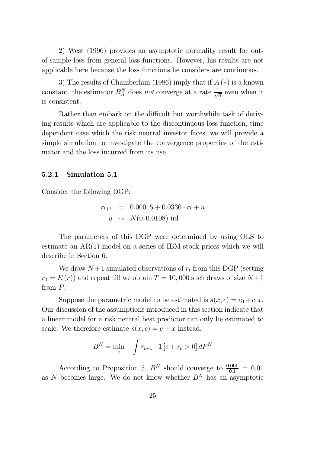2) West (1996) provides an asymptotic normality result for outof-sample loss from general loss functions. However, his results are not applicable here because the loss functions he considers are continuous.

3) The results of Chamberlain (1986) imply that if  $A(*)$  is a known constant, the estimator  $B_A^N$  does not converge at a rate  $\frac{1}{\sqrt{n}}$  even when it is consistent.

Rather than embark on the difficult but worthwhile task of deriving results which are applicable to the discontinuous loss function, time dependent case which the risk neutral investor faces, we will provide a simple simulation to investigate the convergence properties of the estimator and the loss incurred from its use.

#### 5.2.1 Simulation 5.1

Consider the following DGP:

$$
r_{t+1} = 0.00015 + 0.0330 \cdot r_t + u
$$
  
 
$$
u \sim N(0, 0.0108) \text{ iid}
$$

The parameters of this DGP were determined by using OLS to estimate an AR(1) model on a series of IBM stock prices which we will describe in Section 6.

We draw  $N+1$  simulated observations of  $r_t$  from this DGP (setting  $r_0 = E(r)$  and repeat till we obtain  $T = 10,000$  such draws of size  $N+1$ from P.

Suppose the parametric model to be estimated is  $s(x, c) = c_0 + c_1x$ . Our discussion of the assumptions introduced in this section indicate that a linear model for a risk neutral best predictor can only be estimated to scale. We therefore estimate  $s(x, c) = c + x$  instead:

$$
B^N = \min_c - \int r_{t+1} \cdot \mathbf{1} \left[ c + r_t > 0 \right] dP^N
$$

According to Proposition 5,  $B<sup>N</sup>$  should converge to  $\frac{0.001}{0.1} = 0.01$ as  $N$  becomes large. We do not know whether  $B<sup>N</sup>$  has an asymptotic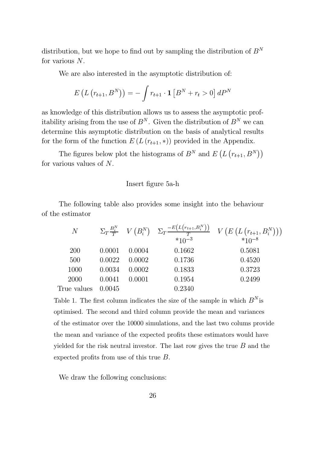distribution, but we hope to find out by sampling the distribution of  $B<sup>N</sup>$ for various N.

We are also interested in the asymptotic distribution of:

$$
E(L(r_{t+1}, B^N)) = -\int r_{t+1} \cdot \mathbf{1} [B^N + r_t > 0] dP^N
$$

as knowledge of this distribution allows us to assess the asymptotic profitability arising from the use of  $B^N$ . Given the distribution of  $B^N$  we can determine this asymptotic distribution on the basis of analytical results for the form of the function  $E(L(r_{t+1},*))$  provided in the Appendix.

The figures below plot the histograms of  $B^N$  and  $E(L(r_{t+1}, B^N))$ for various values of N.

#### Insert figure 5a-h

The following table also provides some insight into the behaviour<br>
estimator<br>  $N = \sum_{i=1}^{N} N_i (DN) = \sum_{i=1}^{N} \frac{E(L(r_{t+1}, B_i^N))}{N} = \frac{E(L(r_{t+1}, B_i^N))}{N}$ of the estimator

| e estimator  |        |        |            |                                                                                                                          |
|--------------|--------|--------|------------|--------------------------------------------------------------------------------------------------------------------------|
| $N_{\rm \ }$ |        |        | $*10^{-3}$ | $\Sigma_T \frac{B_i^N}{T}$ $V(B_i^N)$ $\Sigma_T \frac{-E(L(r_{t+1}, B_i^N))}{T}$ $V(E(L(r_{t+1}, B_i^N)))$<br>$*10^{-8}$ |
| <b>200</b>   | 0.0001 | 0.0004 | 0.1662     | 0.5081                                                                                                                   |
| 500          | 0.0022 | 0.0002 | 0.1736     | 0.4520                                                                                                                   |
| 1000         | 0.0034 | 0.0002 | 0.1833     | 0.3723                                                                                                                   |
| 2000         | 0.0041 | 0.0001 | 0.1954     | 0.2499                                                                                                                   |
| True values  | 0.0045 |        | 0.2340     |                                                                                                                          |

Table 1. The first column indicates the size of the sample in which  $B<sup>N</sup>$  is optimised. The second and third column provide the mean and variances of the estimator over the 10000 simulations, and the last two colums provide the mean and variance of the expected profits these estimators would have yielded for the risk neutral investor. The last row gives the true  $B$  and the expected profits from use of this true  $B$ .

We draw the following conclusions: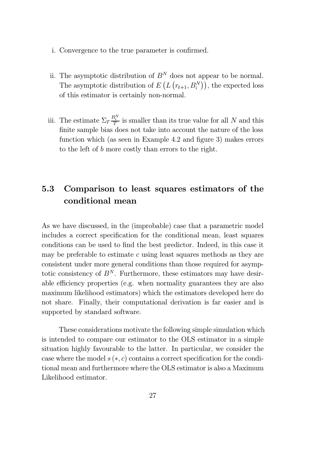- i. Convergence to the true parameter is confirmed.
- ii. The asymptotic distribution of  $B<sup>N</sup>$  does not appear to be normal. The asymptotic distribution of  $E(L(r_{t+1}, B_i^N))$ , the expected loss of this estimator is certainly non-normal.
- iii. The estimate  $\Sigma_T \frac{B_i^N}{T}$  is smaller than its true value for all N and this finite sample bias does not take into account the nature of the loss function which (as seen in Example 4.2 and figure 3) makes errors to the left of b more costly than errors to the right.

## 5.3 Comparison to least squares estimators of the conditional mean

As we have discussed, in the (improbable) case that a parametric model includes a correct specification for the conditional mean, least squares conditions can be used to find the best predictor. Indeed, in this case it may be preferable to estimate  $c$  using least squares methods as they are consistent under more general conditions than those required for asymptotic consistency of  $B<sup>N</sup>$ . Furthermore, these estimators may have desirable efficiency properties (e.g. when normality guarantees they are also maximum likelihood estimators) which the estimators developed here do not share. Finally, their computational derivation is far easier and is supported by standard software.

These considerations motivate the following simple simulation which is intended to compare our estimator to the OLS estimator in a simple situation highly favourable to the latter. In particular, we consider the case where the model  $s(*, c)$  contains a correct specification for the conditional mean and furthermore where the OLS estimator is also a Maximum Likelihood estimator.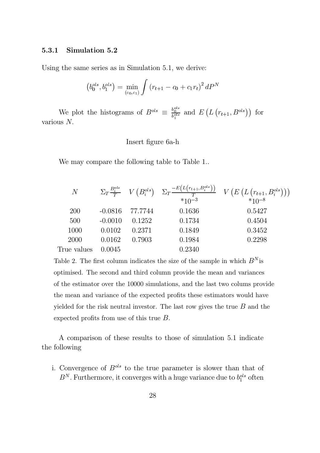#### 5.3.1 Simulation 5.2

Using the same series as in Simulation 5.1, we derive:

$$
(b_0^{ols}, b_1^{ols}) = \min_{(c_0, c_1)} \int (r_{t+1} - c_0 + c_1 r_t)^2 dP^N
$$

We plot the histograms of  $B^{ols} \equiv \frac{b_0^{ols}}{b_1^{ols}}$  and  $E(L(r_{t+1}, B^{ols}))$  for various N:

Insert figure 6a-h

|             |           |         | We may compare the following table to Table 1 |                                                                                                                                                                                                             |
|-------------|-----------|---------|-----------------------------------------------|-------------------------------------------------------------------------------------------------------------------------------------------------------------------------------------------------------------|
| $N_{-}$     |           |         |                                               | $\Sigma_T \frac{B_i^{ols}}{T} \quad V\left(B_i^{ols}\right) \quad \Sigma_T \frac{-E\left(L\left(r_{t+1}, B_i^{ols}\right)\right)}{\tau} \quad V\left(E\left(L\left(r_{t+1}, B_i^{ols}\right)\right)\right)$ |
| <b>200</b>  | $-0.0816$ | 77.7744 | 0.1636                                        | 0.5427                                                                                                                                                                                                      |
| 500         | $-0.0010$ | 0.1252  | 0.1734                                        | 0.4504                                                                                                                                                                                                      |
| 1000        | 0.0102    | 0.2371  | 0.1849                                        | 0.3452                                                                                                                                                                                                      |
| 2000        | 0.0162    | 0.7903  | 0.1984                                        | 0.2298                                                                                                                                                                                                      |
| True values | 0.0045    |         | 0.2340                                        |                                                                                                                                                                                                             |

Table 2. The first column indicates the size of the sample in which  $B^N$  is optimised. The second and third column provide the mean and variances of the estimator over the 10000 simulations, and the last two colums provide the mean and variance of the expected profits these estimators would have yielded for the risk neutral investor. The last row gives the true  $B$  and the expected profits from use of this true  $B$ .

A comparison of these results to those of simulation 5.1 indicate the following

i. Convergence of  $B^{ols}$  to the true parameter is slower than that of  $B<sup>N</sup>$ . Furthermore, it converges with a huge variance due to  $b_1^{ols}$  often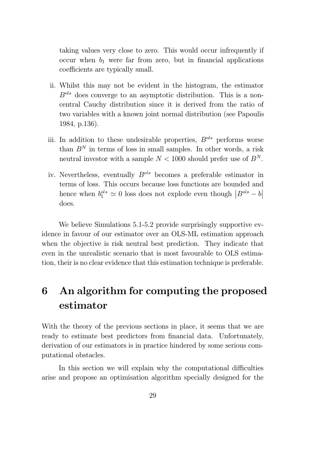taking values very close to zero. This would occur infrequently if occur when  $b_1$  were far from zero, but in financial applications coefficients are typically small.

- ii. Whilst this may not be evident in the histogram, the estimator  $B<sup>ols</sup>$  does converge to an asymptotic distribution. This is a noncentral Cauchy distribution since it is derived from the ratio of two variables with a known joint normal distribution (see Papoulis 1984, p.136).
- iii. In addition to these undesirable properties,  $B^{ols}$  performs worse than  $B<sup>N</sup>$  in terms of loss in small samples. In other words, a risk neutral investor with a sample  $N < 1000$  should prefer use of  $B<sup>N</sup>$ .
- iv. Nevertheless, eventually  $B^{ols}$  becomes a preferable estimator in terms of loss. This occurs because loss functions are bounded and hence when  $b_1^{ols} \simeq 0$  loss does not explode even though  $|B^{ols} - b|$  $\mathsf{l}$ does.

We believe Simulations 5.1-5.2 provide surprisingly supportive evidence in favour of our estimator over an OLS-ML estimation approach when the objective is risk neutral best prediction. They indicate that even in the unrealistic scenario that is most favourable to OLS estimation, their is no clear evidence that this estimation technique is preferable.

# 6 An algorithm for computing the proposed estimator

With the theory of the previous sections in place, it seems that we are ready to estimate best predictors from financial data. Unfortunately, derivation of our estimators is in practice hindered by some serious computational obstacles.

In this section we will explain why the computational difficulties arise and propose an optimisation algorithm specially designed for the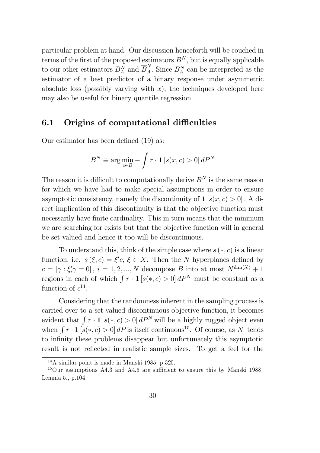particular problem at hand. Our discussion henceforth will be couched in terms of the first of the proposed estimators  $B^N$ , but is equally applicable to our other estimators  $B_A^N$  and  $\overline{B}_A^N$ . Since  $B_A^N$  can be interpreted as the estimator of a best predictor of a binary response under asymmetric absolute loss (possibly varying with  $x$ ), the techniques developed here may also be useful for binary quantile regression.

## 6.1 Origins of computational difficulties

Our estimator has been defined  $(19)$  as:

$$
B^{N} \equiv \arg \min_{c \in B} - \int r \cdot \mathbf{1} \left[ s(x, c) > 0 \right] dP^{N}
$$

The reason it is difficult to computationally derive  $B<sup>N</sup>$  is the same reason for which we have had to make special assumptions in order to ensure asymptotic consistency, namely the discontinuity of  $1 [s(x, c) > 0]$ . A direct implication of this discontinuity is that the objective function must necessarily have finite cardinality. This in turn means that the minimum we are searching for exists but that the objective function will in general be set-valued and hence it too will be discontinuous.

To understand this, think of the simple case where  $s(*, c)$  is a linear function, i.e.  $s(\xi, c) = \xi'c, \xi \in X$ . Then the N hyperplanes defined by  $c = [\gamma : \xi'_i \gamma = 0], i = 1, 2, ..., N$  decompose B into at most  $N^{\dim(X)} + 1$ regions in each of which  $\int r \cdot \mathbf{1} [s(*, c) > 0] dP^N$  must be constant as a function of  $c^{14}$ .

Considering that the randomness inherent in the sampling process is carried over to a set-valued discontinuous objective function, it becomes evident that  $\int r \cdot \mathbf{1} [s(*, c) > 0] dP^N$  will be a highly rugged object even when  $\int r \cdot \mathbf{1} [s(*, c) > 0] dP$  is itself continuous<sup>15</sup>. Of course, as N tends to infinity these problems disappear but unfortunately this asymptotic result is not reflected in realistic sample sizes. To get a feel for the

<sup>14</sup>A similar point is made in Manski 1985, p.320.

 $15$ Our assumptions A4.3 and A4.5 are sufficient to ensure this by Manski 1988. Lemma 5., p.104.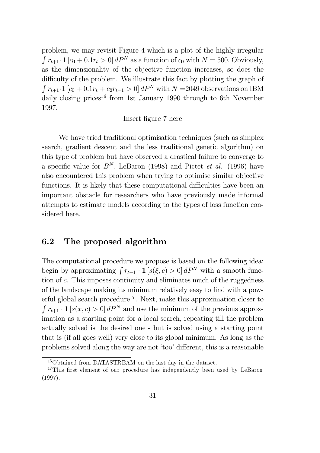problem, we may revisit Figure 4 which is a plot of the highly irregular  $\int r_{t+1} \cdot \mathbf{1} [c_0 + 0.1r_t > 0] dP^N$  as a function of  $c_0$  with  $N = 500$ . Obviously, as the dimensionality of the objective function increases, so does the difficulty of the problem. We illustrate this fact by plotting the graph of  $\int r_{t+1} \cdot \mathbf{1} [c_0 + 0.1r_t + c_2r_{t-1} > 0] dP^N$  with  $N = 2049$  observations on IBM daily closing prices<sup>16</sup> from 1st January 1990 through to 6th November 1997.

#### Insert figure 7 here

We have tried traditional optimisation techniques (such as simplex search, gradient descent and the less traditional genetic algorithm) on this type of problem but have observed a drastical failure to converge to a specific value for  $B<sup>N</sup>$ . LeBaron (1998) and Pictet *et al.* (1996) have also encountered this problem when trying to optimise similar objective functions. It is likely that these computational difficulties have been an important obstacle for researchers who have previously made informal attempts to estimate models according to the types of loss function considered here.

## 6.2 The proposed algorithm

The computational procedure we propose is based on the following idea: begin by approximating  $\int r_{t+1} \cdot \mathbf{1} [s(\xi, c) > 0] dP^N$  with a smooth function of c. This imposes continuity and eliminates much of the ruggedness of the landscape making its minimum relatively easy to find with a powerful global search procedure<sup>17</sup>. Next, make this approximation closer to  $\int r_{t+1} \cdot \mathbf{1} [s(x, c) > 0] dP^N$  and use the minimum of the previous approximation as a starting point for a local search, repeating till the problem actually solved is the desired one - but is solved using a starting point that is (if all goes well) very close to its global minimum. As long as the problems solved along the way are not 'too' different, this is a reasonable

<sup>16</sup>Obtained from DATASTREAM on the last day in the dataset.

 $17$ This first element of our procedure has independently been used by LeBaron (1997).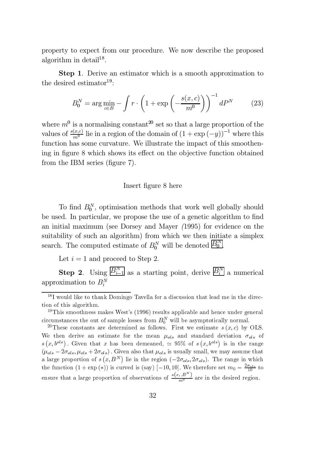property to expect from our procedure. We now describe the proposed algorithm in detail<sup>18</sup>.

Step 1. Derive an estimator which is a smooth approximation to the desired estimator<sup>19</sup>:

$$
B_0^N = \arg\min_{c \in B} -\int r \cdot \left(1 + \exp\left(-\frac{s(x, c)}{m^0}\right)\right)^{-1} dP^N \tag{23}
$$

where  $m^0$  is a normalising constant<sup>20</sup> set so that a large proportion of the values of  $\frac{s(x,c)}{m^0}$  lie in a region of the domain of  $(1 + \exp(-y))^{-1}$  where this function has some curvature. We illustrate the impact of this smoothening in figure 8 which shows its effect on the objective function obtained from the IBM series (figure  $7$ ).

#### Insert figure 8 here

To find  $B_0^N$ , optimisation methods that work well globally should be used. In particular, we propose the use of a genetic algorithm to find an initial maximum (see Dorsey and Mayer (1995) for evidence on the suitability of such an algorithm) from which we then initiate a simplex search. The computed estimate of  $B_0^N$  will be denoted  $\overline{B_0^N}$ .

Let  $i = 1$  and proceed to Step 2.

**Step 2**. Using  $\overline{B_{i-1}^N}$  as a starting point, derive  $\overline{B_i^N}$  a numerical approximation to  $B_i^N$ 

<sup>&</sup>lt;sup>18</sup>I would like to thank Domingo Tavella for a discussion that lead me in the direction of this algorithm.

<sup>&</sup>lt;sup>19</sup>This smoothness makes West's (1996) results applicable and hence under general circumstances the out of sample losses from  $B_0^N$  will be asymptotically normal.

<sup>&</sup>lt;sup>20</sup>These constants are determined as follows. First we estimate  $s(x, c)$  by OLS. We then derive an estimate for the mean  $\mu_{ols}$  and standard deviation  $\sigma_{ols}$  of  $s(x, b^{ols})$ . Given that x has been demeaned,  $\simeq 95\%$  of  $s(x, b^{ols})$  is in the range  $(\mu_{ols} - 2\sigma_{ols}, \mu_{ols} + 2\sigma_{ols})$ . Given also that  $\mu_{ols}$  is usually small, we may assume that a large proportion of  $s(x, B^N)$  lie in the region  $(-2\sigma_{ols}, 2\sigma_{ols})$ . The range in which the function  $(1 + \exp(\ast))$  is curved is (say) [-10, 10]. We therefore set  $m_0 = \frac{2\sigma_{ols}}{10}$  to ensure that a large proportion of observations of  $\frac{s(x_i,B^N)}{m^0}$  are in the desired region.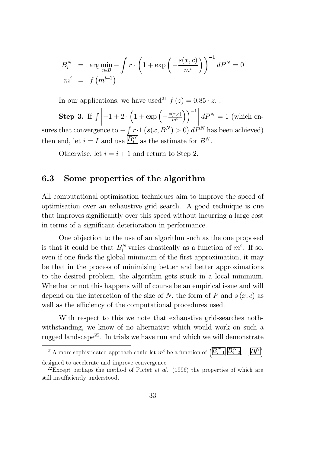$$
B_i^N = \arg\min_{c \in B} - \int r \cdot \left(1 + \exp\left(-\frac{s(x, c)}{m^i}\right)\right)^{-1} dP^N = 0
$$
  

$$
m^i = f(m^{i-1})
$$

In our applications, we have used<sup>21</sup>  $f(z)=0.85 \cdot z$ .

Step 3. If  $\int$  $\begin{array}{c} \hline \end{array}$  $\frac{1}{2}$  $\left|-1+2\cdot\left(1+\exp\left(-\frac{s(x,c)}{m^i}\right)\right.\right.$  $\begin{bmatrix} 1 & 0 & 0 \\ 0 & 0 & 0 \\ 0 & 0 & 0 \end{bmatrix}$  $\left\vert \right\vert ^{-1}$  $\begin{matrix} \phantom{-} \end{matrix}$  $dP^{N} = 1$  (which ensures that convergence to  $-\int r \cdot 1$   $(s(x, B^N) > 0) dP^N$  has been achieved) then end, let  $i = I$  and use  $\overline{B_{I}^{N}}$  as the estimate for  $B^{N}$ .

Otherwise, let  $i = i + 1$  and return to Step 2.

## 6.3 Some properties of the algorithm

All computational optimisation techniques aim to improve the speed of optimisation over an exhaustive grid search. A good technique is one that improves significantly over this speed without incurring a large cost in terms of a significant deterioration in performance.

One objection to the use of an algorithm such as the one proposed is that it could be that  $B_i^N$  varies drastically as a function of  $m^i$ . If so, even if one finds the global minimum of the first approximation, it may be that in the process of minimising better and better approximations to the desired problem, the algorithm gets stuck in a local minimum. Whether or not this happens will of course be an empirical issue and will depend on the interaction of the size of N, the form of P and  $s(x, c)$  as well as the efficiency of the computational procedures used.

With respect to this we note that exhaustive grid-searches nothwithstanding, we know of no alternative which would work on such a rugged landscape<sup>22</sup>. In trials we have run and which we will demonstrate igged landscape<sup>22</sup>. In trials we have run and which we will dem<br>
<sup>21</sup>A more sophisticated approach could let  $m^i$  be a function of  $\left(\overline{B_{i-1}^N}\right)\overline{B_{i-1}^N}$ on such<br>monstrat<br> $\frac{N}{i-2}$ , ...,  $\overline{B_0^N}$ 

 $\sqrt[3]{0}$ designed to accelerate and improve convergence

<sup>&</sup>lt;sup>22</sup>Except perhaps the method of Pictet *et al.* (1996) the properties of which are still insufficiently understood.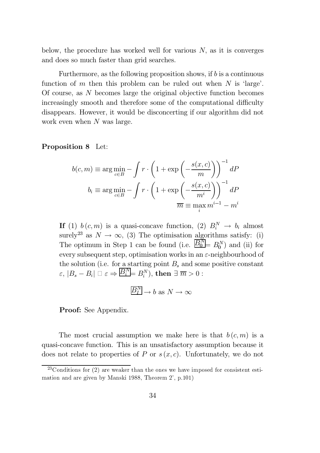below, the procedure has worked well for various  $N$ , as it is converges and does so much faster than grid searches.

Furthermore, as the following proposition shows, if  $b$  is a continuous function of m then this problem can be ruled out when  $N$  is 'large'. Of course, as N becomes large the original objective function becomes increasingly smooth and therefore some of the computational difficulty disappears. However, it would be disconcerting if our algorithm did not work even when N was large.

Proposition 8 Let:

$$
b(c, m) \equiv \arg \min_{c \in B} - \int r \cdot \left(1 + \exp\left(-\frac{s(x, c)}{m}\right)\right)^{-1} dP
$$

$$
b_i \equiv \arg \min_{c \in B} - \int r \cdot \left(1 + \exp\left(-\frac{s(x, c)}{m^i}\right)\right)^{-1} dP
$$

$$
\overline{m} \equiv \max_i m^{i-1} - m^i
$$

If (1)  $b(c, m)$  is a quasi-concave function, (2)  $B_i^N \to b_i$  almost surely<sup>23</sup> as  $N \to \infty$ , (3) The optimisation algorithms satisfy: (i) The optimum in Step 1 can be found (i.e.  $\overline{B_0^N} = B_0^N$ ) and (ii) for every subsequent step, optimisation works in an  $\varepsilon$ -neighbourhood of the solution (i.e. for a starting point  $B_s$  and some positive constant  $\epsilon, |B_s - B_i| \overset{\cdot}{\Box} \epsilon \Rightarrow \overline{B_i^N} = B_i^N$ , then  $\overset{\cdot}{\exists} \overline{m} > 0$ :

$$
\overline{B_I^N} \to b \text{ as } N \to \infty
$$

Proof: See Appendix.

The most crucial assumption we make here is that  $b(c, m)$  is a quasi-concave function. This is an unsatisfactory assumption because it does not relate to properties of P or  $s(x, c)$ . Unfortunately, we do not

 $23$ Conditions for  $(2)$  are weaker than the ones we have imposed for consistent estimation and are given by Manski 1988, Theorem 2', p.101)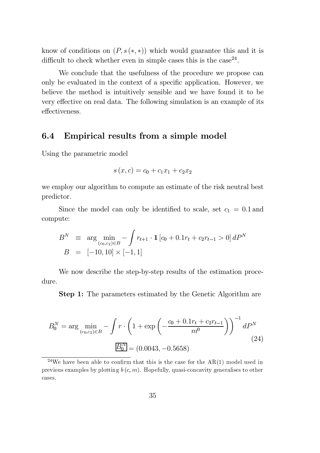know of conditions on  $(P, s(*, *)$  which would guarantee this and it is difficult to check whether even in simple cases this is the case  $24$ .

We conclude that the usefulness of the procedure we propose can only be evaluated in the context of a specific application. However, we believe the method is intuitively sensible and we have found it to be very effective on real data. The following simulation is an example of its effectiveness.

## 6.4 Empirical results from a simple model

Using the parametric model

$$
s(x, c) = c_0 + c_1 x_1 + c_2 x_2
$$

we employ our algorithm to compute an estimate of the risk neutral best predictor.

Since the model can only be identified to scale, set  $c_1 = 0.1$  and compute:

$$
B^N \equiv \arg\min_{(c_0, c_2)\in B} -\int r_{t+1} \cdot \mathbf{1} [c_0 + 0.1r_t + c_2r_{t-1} > 0] dP^N
$$
  

$$
B = [-10, 10] \times [-1, 1]
$$

We now describe the step-by-step results of the estimation procedure.

**Step 1:** The parameters estimated by the Genetic Algorithm are

$$
B_0^N = \arg\min_{(c_0, c_2) \in B} -\int r \cdot \left(1 + \exp\left(-\frac{c_0 + 0.1r_t + c_2r_{t-1}}{m^0}\right)\right)^{-1} dP^N
$$
\n
$$
\boxed{B_0^N} = (0.0043, -0.5658)
$$
\n(24)

<sup>&</sup>lt;sup>24</sup>We have been able to confirm that this is the case for the  $AR(1)$  model used in previous examples by plotting  $b(c, m)$ . Hopefully, quasi-concavity generalises to other cases.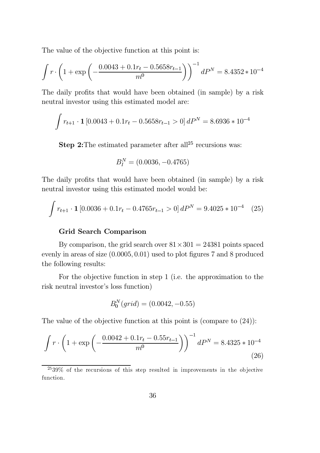The value of the objective function at this point is:

The value of the objective function at this point is:  
\n
$$
\int r \cdot \left(1 + \exp\left(-\frac{0.0043 + 0.1r_t - 0.5658r_{t-1}}{m^0}\right)\right)^{-1} dP^N = 8.4352 \times 10^{-4}
$$

The daily profits that would have been obtained (in sample) by a risk<br>neutral investor using this estimated model are:<br> $\int r_{t+1} \cdot \mathbf{1} [0.0043 + 0.1r_t - 0.5658r_{t-1} > 0] dP^N = 8.6936 * 10^{-4}$ neutral investor using this estimated model are:

$$
\int r_{t+1} \cdot \mathbf{1} [0.0043 + 0.1r_t - 0.5658r_{t-1} > 0] dP^N = 8.6936 * 10^{-4}
$$

**Step 2:** The estimated parameter after all<sup>25</sup> recursions was:

$$
B_I^N = (0.0036, -0.4765)
$$

The daily profits that would have been obtained (in sample) by a risk<br>neutral investor using this estimated model would be:<br> $\int r_{t+1} \cdot \mathbf{1} [0.0036 + 0.1r_t - 0.4765r_{t-1} > 0] dP^N = 9.4025 * 10^{-4}$  (25) neutral investor using this estimated model would be:

$$
\int r_{t+1} \cdot \mathbf{1} \left[ 0.0036 + 0.1 r_t - 0.4765 r_{t-1} > 0 \right] dP^N = 9.4025 * 10^{-4} \quad (25)
$$

#### Grid Search Comparison

By comparison, the grid search over  $81 \times 301 = 24381$  points spaced evenly in areas of size  $(0.0005, 0.01)$  used to plot figures 7 and 8 produced the following results:

For the objective function in step 1 (i.e. the approximation to the risk neutral investor's loss function)

$$
B_0^N(grid) = (0.0042, -0.55)
$$

The value of the objective function at this point is (compare to (24)):

$$
D_0 (yr \, at) = (0.0042, -0.55)
$$
  
The value of the objective function at this point is (compare to (24)):  

$$
\int r \cdot \left(1 + \exp\left(-\frac{0.0042 + 0.1r_t - 0.55r_{t-1}}{m^0}\right)\right)^{-1} dP^N = 8.4325 \times 10^{-4}
$$
(26)

 $2539\%$  of the recursions of this step resulted in improvements in the objective function.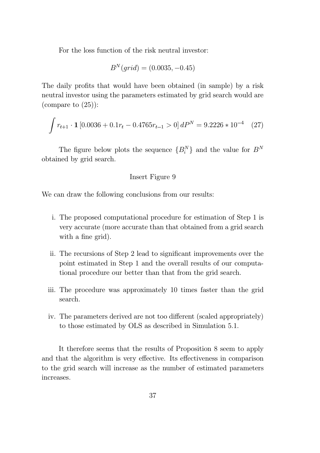For the loss function of the risk neutral investor:

$$
B^N(grid) = (0.0035, -0.45)
$$

The daily profits that would have been obtained (in sample) by a risk neutral investor using the parameters estimated by grid search would are<br>
(compare to (25)):<br>  $\int r_{t+1} \cdot \mathbf{1} [0.0036 + 0.1r_t - 0.4765r_{t-1} > 0] dP^N = 9.2226 * 10^{-4}$  (27) (compare to  $(25)$ ):

$$
\int r_{t+1} \cdot \mathbf{1} \left[ 0.0036 + 0.1 r_t - 0.4765 r_{t-1} > 0 \right] dP^N = 9.2226 * 10^{-4} \quad (27)
$$

The figure below plots the sequence  ${B_i^N}$  and the value for  $B^N$ obtained by grid search.

#### Insert Figure 9

We can draw the following conclusions from our results:

- i. The proposed computational procedure for estimation of Step 1 is very accurate (more accurate than that obtained from a grid search with a fine grid).
- ii. The recursions of Step 2 lead to significant improvements over the point estimated in Step 1 and the overall results of our computational procedure our better than that from the grid search.
- iii. The procedure was approximately 10 times faster than the grid search.
- iv. The parameters derived are not too different (scaled appropriately) to those estimated by OLS as described in Simulation 5.1.

It therefore seems that the results of Proposition 8 seem to apply and that the algorithm is very effective. Its effectiveness in comparison to the grid search will increase as the number of estimated parameters increases.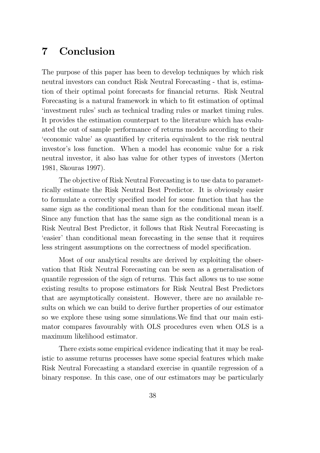## 7 Conclusion

The purpose of this paper has been to develop techniques by which risk neutral investors can conduct Risk Neutral Forecasting - that is, estimation of their optimal point forecasts for financial returns. Risk Neutral Forecasting is a natural framework in which to fit estimation of optimal `investment rules' such as technical trading rules or market timing rules. It provides the estimation counterpart to the literature which has evaluated the out of sample performance of returns models according to their Express component value' as quantified by criteria equivalent to the risk neutral investor's loss function. When a model has economic value for a risk neutral investor, it also has value for other types of investors (Merton 1981, Skouras 1997).

The objective of Risk Neutral Forecasting is to use data to parametrically estimate the Risk Neutral Best Predictor. It is obviously easier to formulate a correctly specified model for some function that has the same sign as the conditional mean than for the conditional mean itself. Since any function that has the same sign as the conditional mean is a Risk Neutral Best Predictor, it follows that Risk Neutral Forecasting is `easier' than conditional mean forecasting in the sense that it requires less stringent assumptions on the correctness of model specification.

Most of our analytical results are derived by exploiting the observation that Risk Neutral Forecasting can be seen as a generalisation of quantile regression of the sign of returns. This fact allows us to use some existing results to propose estimators for Risk Neutral Best Predictors that are asymptotically consistent. However, there are no available results on which we can build to derive further properties of our estimator so we explore these using some simulations. We find that our main estimator compares favourably with OLS procedures even when OLS is a maximum likelihood estimator.

There exists some empirical evidence indicating that it may be realistic to assume returns processes have some special features which make Risk Neutral Forecasting a standard exercise in quantile regression of a binary response. In this case, one of our estimators may be particularly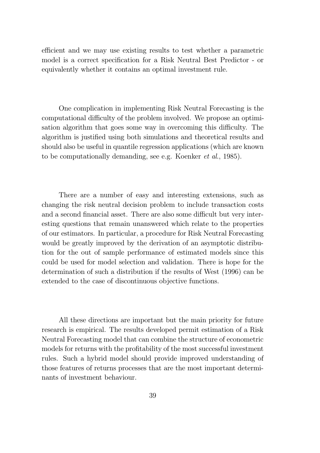efficient and we may use existing results to test whether a parametric model is a correct specification for a Risk Neutral Best Predictor - or equivalently whether it contains an optimal investment rule.

One complication in implementing Risk Neutral Forecasting is the computational difficulty of the problem involved. We propose an optimisation algorithm that goes some way in overcoming this difficulty. The algorithm is justified using both simulations and theoretical results and should also be useful in quantile regression applications (which are known to be computationally demanding, see e.g. Koenker et al., 1985).

There are a number of easy and interesting extensions, such as changing the risk neutral decision problem to include transaction costs and a second financial asset. There are also some difficult but very interesting questions that remain unanswered which relate to the properties of our estimators. In particular, a procedure for Risk Neutral Forecasting would be greatly improved by the derivation of an asymptotic distribution for the out of sample performance of estimated models since this could be used for model selection and validation. There is hope for the determination of such a distribution if the results of West (1996) can be extended to the case of discontinuous objective functions.

All these directions are important but the main priority for future research is empirical. The results developed permit estimation of a Risk Neutral Forecasting model that can combine the structure of econometric models for returns with the profitability of the most successful investment rules. Such a hybrid model should provide improved understanding of those features of returns processes that are the most important determinants of investment behaviour.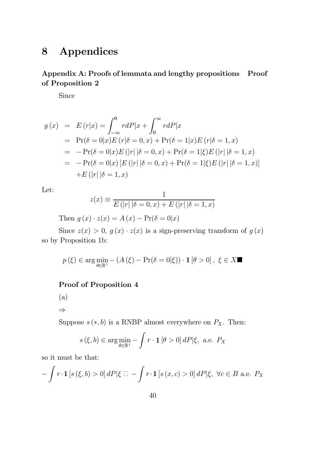## 8 Appendices

## Appendix A: Proofs of lemmata and lengthy propositions Proof of Proposition 2

Since

$$
g(x) = E(r|x) = \int_{-\infty}^{0} r dP|x + \int_{0}^{\infty} r dP|x
$$
  
= Pr( $\delta = 0 | x$ )E(r| $\delta = 0, x$ ) + Pr( $\delta = 1 | x$ )E(r| $\delta = 1, x$ )  
= -Pr( $\delta = 0 | x$ )E(|r|| $\delta = 0, x$ ) + Pr( $\delta = 1 | \xi$ )E(|r| | $\delta = 1, x$ )  
= -Pr( $\delta = 0 | x$ ) [E(|r| | $\delta = 0, x$ ) + Pr( $\delta = 1 | \xi$ )E(|r| | $\delta = 1, x$ )]  
+ E(|r| | $\delta = 1, x$ )

Let:

$$
z(x) \equiv \frac{1}{E(|r||\delta = 0, x) + E(|r||\delta = 1, x)}
$$

Then  $g(x) \cdot z(x) = A(x) - Pr(\delta = 0|x)$ 

Since  $z(x) > 0$ ,  $g(x) \cdot z(x)$  is a sign-preserving transform of  $g(x)$ so by Proposition 1b:

$$
p(\xi) \in \arg\min_{\theta \in \mathbb{R}^1} - (A(\xi) - \Pr(\delta = 0|\xi)) \cdot \mathbf{1}[\theta > 0], \xi \in X \blacksquare
$$

### Proof of Proposition 4

$$
\left( \mathrm{a}\right)
$$

 $\Rightarrow$ 

Suppose  $s(*, b)$  is a RNBP almost everywhere on  $P_X$ . Then:

$$
s(\xi, b) \in \arg\min_{\theta \in \mathbb{R}^1} - \int r \cdot \mathbf{1} \left[ \theta > 0 \right] dP |\xi, \text{ a.e. } P_X
$$

so it must be that:

$$
-\int r \cdot \mathbf{1} \left[ s \left( \xi, b \right) > 0 \right] dP \left| \xi \right| = -\int r \cdot \mathbf{1} \left[ s \left( x, c \right) > 0 \right] dP \left| \xi, \ \forall c \in B \text{ a.e. } P_X
$$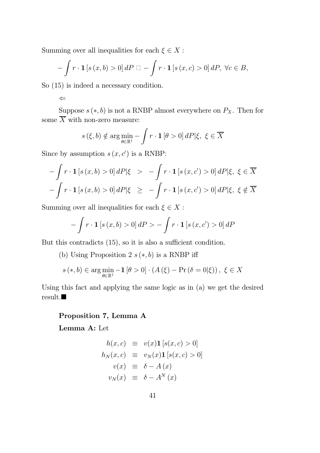Summing over all inequalities for each  $\xi \in X$  :

$$
-\int r \cdot \mathbf{1} \left[ s(x,b) > 0 \right] dP \Box - \int r \cdot \mathbf{1} \left[ s(x,c) > 0 \right] dP, \ \forall c \in B,
$$

So (15) is indeed a necessary condition.

$$
\Leftarrow
$$

Suppose  $s(*, b)$  is not a RNBP almost everywhere on  $P_X$ . Then for some  $\overline{X}$  with non-zero measure:

$$
s(\xi, b) \notin \arg\min_{\theta \in \mathbb{R}^1} - \int r \cdot \mathbf{1} [\theta > 0] dP |\xi, \xi \in \overline{X}
$$

Since by assumption  $s(x, c')$  is a RNBP:

$$
-\int r \cdot \mathbf{1} [s(x, b) > 0] dP |\xi > -\int r \cdot \mathbf{1} [s(x, c') > 0] dP |\xi, \xi \in \overline{X}
$$

$$
-\int r \cdot \mathbf{1} [s(x, b) > 0] dP |\xi \ge -\int r \cdot \mathbf{1} [s(x, c') > 0] dP |\xi, \xi \notin \overline{X}
$$

Summing over all inequalities for each  $\xi \in X$  :

$$
- \int r \cdot \mathbf{1} [s(x, b) > 0] dP > - \int r \cdot \mathbf{1} [s(x, c') > 0] dP
$$

But this contradicts  $(15)$ , so it is also a sufficient condition.

(b) Using Proposition 2  $s(*, b)$  is a RNBP iff

$$
s(*,b) \in \arg\min_{\theta \in \mathbb{R}^1} -1 \left[\theta > 0\right] \cdot \left(A\left(\xi\right) - \Pr\left(\delta = 0|\xi\right)\right), \ \xi \in X
$$

Using this fact and applying the same logic as in (a) we get the desired  $result.$ 

## Proposition 7, Lemma A

Lemma A: Let

$$
h(x, c) \equiv v(x) \mathbf{1} [s(x, c) > 0]
$$
  
\n
$$
h_N(x, c) \equiv v_N(x) \mathbf{1} [s(x, c) > 0]
$$
  
\n
$$
v(x) \equiv \delta - A(x)
$$
  
\n
$$
v_N(x) \equiv \delta - A^N(x)
$$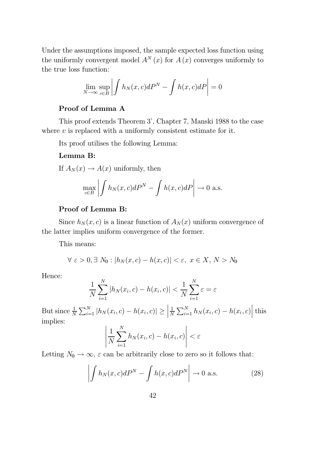Under the assumptions imposed, the sample expected loss function using the uniformly convergent model  $A^N(x)$  for  $A(x)$  converges uniformly to the true loss function:

$$
\lim_{N \to \infty} \sup_{c \in B} \left| \int h_N(x, c) dP^N - \int h(x, c) dP \right| = 0
$$

### Proof of Lemma A

This proof extends Theorem 3', Chapter 7, Manski 1988 to the case where  $v$  is replaced with a uniformly consistent estimate for it.

Its proof utilises the following Lemma:

#### Lemma B:

If  $A_N(x) \to A(x)$  uniformly, then

$$
\max_{c \in B} \left| \int h_N(x, c) dP^N - \int h(x, c) dP \right| \to 0 \text{ a.s.}
$$

### Proof of Lemma B:

Since  $h_N(x, c)$  is a linear function of  $A_N(x)$  uniform convergence of the latter implies uniform convergence of the former.

This means:

$$
\forall \varepsilon > 0, \exists N_0 : |h_N(x, c) - h(x, c)| < \varepsilon, \ x \in X, \ N > N_0
$$

Hence:

$$
\frac{1}{N}\sum_{i=1}^{N}|h_N(x_i,c) - h(x_i,c)| < \frac{1}{N}\sum_{i=1}^{N}\varepsilon = \varepsilon
$$

But since  $\frac{1}{N} \sum_{i=1}^{N} |h_N(x_i, c) - h(x_i, c)| \ge \Big|$  $\overline{\phantom{a}}$  $\vert$ 1  $\frac{1}{N} \sum_{i=1}^{N} h_N(x_i, c) - h(x_i, c)$  $\frac{1}{2}$  $\vert$ this implies:

$$
\left|\frac{1}{N}\sum_{i=1}^{N}h_N(x_i,c)-h(x_i,c)\right|<\varepsilon
$$

Letting  $N_0 \to \infty$ ,  $\varepsilon$  can be arbitrarily close to zero so it follows that:

$$
\left| \int h_N(x, c) dP^N - \int h(x, c) dP^N \right| \to 0 \text{ a.s.}
$$
 (28)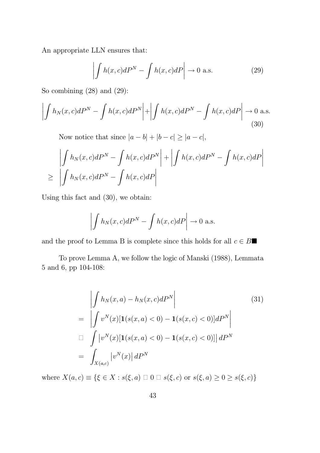An appropriate LLN ensures that:

$$
\left| \int h(x, c) dP^N - \int h(x, c) dP \right| \to 0 \text{ a.s.}
$$
 (29)

So combining  $(28)$  and  $(29)$ :

$$
\left| \int h_N(x, c) dP^N - \int h(x, c) dP^N \right| + \left| \int h(x, c) dP^N - \int h(x, c) dP \right| \to 0 \text{ a.s.}
$$
\n(30)

Now notice that since  $|a - b| + |b - c| \geq |a - c|$ ,

$$
\left| \int h_N(x, c) dP^N - \int h(x, c) dP^N \right| + \left| \int h(x, c) dP^N - \int h(x, c) dP \right|
$$
  
\n
$$
\geq \left| \int h_N(x, c) dP^N - \int h(x, c) dP \right|
$$

Using this fact and (30), we obtain:

$$
\left| \int h_N(x, c) dP^N - \int h(x, c) dP \right| \to 0 \text{ a.s.}
$$

and the proof to Lemma B is complete since this holds for all  $c \in B\blacksquare$ 

To prove Lemma A, we follow the logic of Manski (1988), Lemmata 5 and 6, pp 104-108:

$$
\left| \int h_N(x, a) - h_N(x, c) dP^N \right|
$$
\n
$$
= \left| \int v^N(x) [\mathbf{1}(s(x, a) < 0) - \mathbf{1}(s(x, c) < 0)] dP^N \right|
$$
\n
$$
\Box \int |v^N(x) [\mathbf{1}(s(x, a) < 0) - \mathbf{1}(s(x, c) < 0)] | dP^N
$$
\n
$$
= \int_{X(a, c)} |v^N(x)| dP^N
$$
\n(31)

where  $X(a, c) \equiv \{\xi \in X : s(\xi, a) \square \cup 0 \square s(\xi, c) \text{ or } s(\xi, a) \geq 0 \geq s(\xi, c)\}\$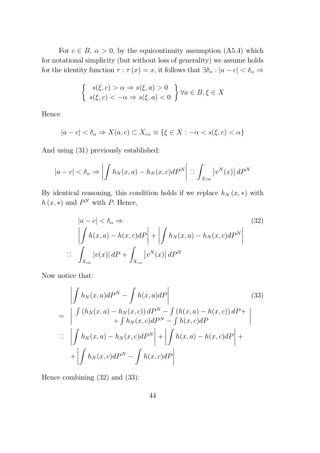For  $c \in B$ ,  $\alpha > 0$ , by the equicontinuity assumption (A5.4) which for notational simplicity (but without loss of generality) we assume holds for the identity function  $\tau : \tau(x) = x$ , it follows that  $\exists \delta_{\alpha} : |a - c| < \delta_{\alpha} \Rightarrow$ 

$$
\begin{cases} s(\xi, c) > \alpha \Rightarrow s(\xi, a) > 0 \\ s(\xi, c) < -\alpha \Rightarrow s(\xi, a) < 0 \end{cases} \forall a \in B, \xi \in X
$$

Hence

$$
|a-c| < \delta_{\alpha} \Rightarrow X(a,c) \subset X_{c\alpha} \equiv \{\xi \in X : -\alpha < s(\xi, c) < \alpha\}
$$

And using (31) previously established:

$$
|a-c| < \delta_{\alpha} \Rightarrow \left| \int h_N(x,a) - h_N(x,c) dP^N \right| \Box \int_{Xc\alpha} |v^N(x)| dP^N
$$

By identical reasoning, this condition holds if we replace  $h_N(x, *)$  with  $h(x, *)$  and  $P<sup>N</sup>$  with P. Hence,

$$
|a - c| < \delta_{\alpha} \Rightarrow \qquad (32)
$$
\n
$$
\left| \int h(x, a) - h(x, c) dP \right| + \left| \int h_N(x, a) - h_N(x, c) dP^N \right|
$$
\n
$$
\Box \int_{X_{c\alpha}} |v(x)| dP + \int_{X_{c\alpha}} |v^N(x)| dP^N
$$

Now notice that:

$$
\left| \int h_N(x, a) dP^N - \int h(x, a) dP \right|
$$
\n
$$
= \left| \int (h_N(x, a) - h_N(x, c)) dP^N - \int (h(x, a) - h(x, c)) dP + \int h_N(x, c) dP^N - \int h(x, c) dP \right|
$$
\n
$$
\Box \left| \int h_N(x, a) - h_N(x, c) dP^N \right| + \left| \int h(x, a) - h(x, c) dP \right| + \left| \int h_N(x, c) dP^N - \int h(x, c) dP \right|
$$
\n(33)

Hence combining (32) and (33):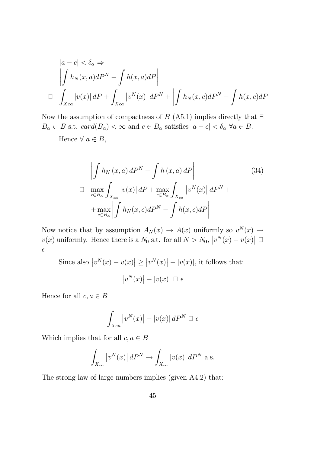$$
|a - c| < \delta_{\alpha} \Rightarrow
$$
  
\n
$$
\left| \int h_N(x, a) dP^N - \int h(x, a) dP \right|
$$
  
\n
$$
\Box \int_{Xca} |v(x)| dP + \int_{Xca} |v^N(x)| dP^N + \left| \int h_N(x, c) dP^N - \int h(x, c) dP \right|
$$

Now the assumption of compactness of B (A5.1) implies directly that  $\exists$  $B_{\alpha} \subset B$  s.t.  $card(B_{\alpha}) < \infty$  and  $c \in B_{\alpha}$  satisfies  $|a - c| < \delta_{\alpha} \ \forall a \in B$ .

Hence  $\forall a \in B$ ,

$$
\left| \int h_N(x, a) dP^N - \int h(x, a) dP \right|
$$
\n
$$
\Box \max_{c \in B_{\alpha}} \int_{X_{c\alpha}} |v(x)| dP + \max_{c \in B_{\alpha}} \int_{X_{c\alpha}} |v^N(x)| dP^N +
$$
\n
$$
+ \max_{c \in B_{\alpha}} \left| \int h_N(x, c) dP^N - \int h(x, c) dP \right|
$$
\n(34)

Now notice that by assumption  $A_N(x) \to A(x)$  uniformly so  $v^N(x) \to$  $v(x)$  uniformly. Hence there is a  $N_0$  s.t. for all  $N > N_0$ ,  $|v^N(x) - v(x)| \square$  $\epsilon$ 

Since also  $|v^N(x) - v(x)| \ge |v^N(x)| - |v(x)|$ , it follows that:  $\left| v^N(x) \right| - \left| v(x) \right| \ \Box \ \epsilon$ 

Hence for all  $c, a \in B$ 

$$
\int_{Xca}\left|v^{N}(x)\right|-\left|v(x)\right|dP^{N}\ \Box\ \epsilon
$$

Which implies that for all  $c, a \in B$ 

$$
\int_{X_{c\alpha}} |v^N(x)| dP^N \to \int_{X_{c\alpha}} |v(x)| dP^N \text{ a.s.}
$$

The strong law of large numbers implies (given A4.2) that: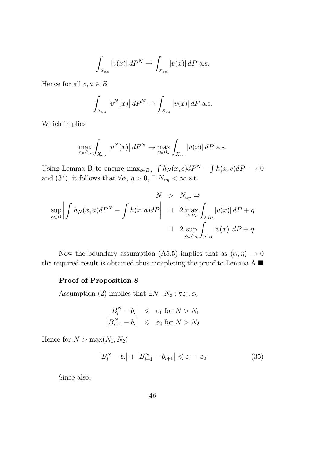$$
\int_{X_{c\alpha}} |v(x)| dP^N \to \int_{X_{c\alpha}} |v(x)| dP \text{ a.s.}
$$

Hence for all  $c, a \in B$ 

$$
\int_{X_{c\alpha}} |v^N(x)| dP^N \to \int_{X_{c\alpha}} |v(x)| dP \text{ a.s.}
$$

Which implies

$$
\max_{c \in B_{\alpha}} \int_{X_{c\alpha}} |v^N(x)| dP^N \to \max_{c \in B_{\alpha}} \int_{X_{c\alpha}} |v(x)| dP \text{ a.s.}
$$

Using Lemma B to ensure  $\max_{c \in B_{\alpha}}$  $\left| \int h_N(x, c) dP^N - \int h(x, c) dP \right| \to 0$ and (34), it follows that  $\forall \alpha, \eta > 0$ ,  $\exists N_{\alpha\eta} < \infty$  s.t.

$$
N > N_{\alpha\eta} \Rightarrow
$$
  
\n
$$
\sup_{a \in B} \left| \int h_N(x, a) dP^N - \int h(x, a) dP \right| \quad \Box \quad 2 \left[ \max_{c \in B_{\alpha}} \int_{X_{ca}} |v(x)| dP + \eta \right]
$$
  
\n
$$
\Box \quad 2 \left[ \sup_{c \in B_{\alpha}} \int_{X_{ca}} |v(x)| dP + \eta \right]
$$

Now the boundary assumption (A5.5) implies that as  $(\alpha, \eta) \to 0$ the required result is obtained thus completing the proof to Lemma  $A.\blacksquare$ 

### Proof of Proposition 8

Assumption (2) implies that  $\exists N_1, N_2 : \forall \varepsilon_1, \varepsilon_2$ 

$$
\begin{aligned}\n\left| B_i^N - b_i \right| &\leq\ \varepsilon_1 \text{ for } N > N_1 \\
\left| B_{i+1}^N - b_i \right| &\leq\ \varepsilon_2 \text{ for } N > N_2\n\end{aligned}
$$

Hence for  $N > \max(N_1, N_2)$ 

$$
\left|B_i^N - b_i\right| + \left|B_{i+1}^N - b_{i+1}\right| \leqslant \varepsilon_1 + \varepsilon_2\tag{35}
$$

Since also,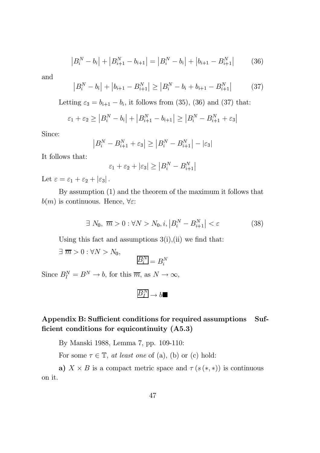$$
|B_i^N - b_i| + |B_{i+1}^N - b_{i+1}| = |B_i^N - b_i| + |b_{i+1} - B_{i+1}^N|
$$
 (36)

and

$$
\left|B_i^N - b_i\right| + \left|b_{i+1} - B_{i+1}^N\right| \ge \left|B_i^N - b_i + b_{i+1} - B_{i+1}^N\right| \tag{37}
$$

Letting  $\varepsilon_3 = b_{i+1} - b_i$ , it follows from (35), (36) and (37) that:

$$
\varepsilon_1 + \varepsilon_2 \ge |B_i^N - b_i| + |B_{i+1}^N - b_{i+1}| \ge |B_i^N - B_{i+1}^N + \varepsilon_3|
$$

Since:

$$
|B_i^N - B_{i+1}^N + \varepsilon_3| \ge |B_i^N - B_{i+1}^N| - |\varepsilon_3|
$$

It follows that:

$$
\varepsilon_1 + \varepsilon_2 + |\varepsilon_3| \ge |B_i^N - B_{i+1}^N|
$$

Let  $\varepsilon = \varepsilon_1 + \varepsilon_2 + |\varepsilon_3|$ .

By assumption (1) and the theorem of the maximum it follows that  $b(m)$  is continuous. Hence,  $\forall \varepsilon$ :

$$
\exists N_0, \overline{m} > 0: \forall N > N_0, i, \left| B_i^N - B_{i+1}^N \right| < \varepsilon
$$
\n(38)

Using this fact and assumptions  $3(i)$ , (ii) we find that:

 $\exists \overline{m} > 0 : \forall N > N_0,$ 

 $\overline{B_i^N} = B_i^N$ 

Since  $B_I^N = B^N \to b$ , for this  $\overline{m}$ , as  $N \to \infty$ ,

$$
\overline{B_I^N}\def\ffp{{\cal Q}}\def\ffp{{\cal Q}}\def\ffp{{\cal Q}}\def\ffp{{\cal Q}}\def\ffp{{\cal Q}}\def\ffp{{\cal Q}}\def\ffp{{\cal Q}}\def\ffp{{\cal Q}}\def\ffp{{\cal Q}}\def\ffp{{\cal Q}}\def\ffp{{\cal Q}}\def\ffp{{\cal Q}}\def\ffp{{\cal Q}}\def\ffp{{\cal Q}}\def\ffp{{\cal Q}}\def\ffp{{\cal Q}}\def\ffp{{\cal Q}}\def\ffp{{\cal Q}}\def\ffp{{\cal Q}}\def\ffp{{\cal Q}}\def\ffp{{\cal Q}}\def\ffp{{\cal Q}}\def\ffp{{\cal Q}}\def\ffp{{\cal Q}}\def\ffp{{\cal Q}}\def\ffp{{\cal Q}}\def\ffp{{\cal Q}}\def\ffp{{\cal Q}}\def\ffp{{\cal Q}}\def\ffp{{\cal Q}}\def\ffp{{\cal Q}}\def\ffp{{\cal Q}}\def\ffp{{\cal Q}}\def\ffp{{\cal Q}}\def\ffp{{\cal Q}}\def\ffp{{\cal Q}}\def\ffp{{\cal Q}}\def\ffp{{\cal Q}}\def\ffp{{\cal Q}}\def\ffp{{\cal Q}}\def\ffp{{\cal Q}}\def\ffp{{\cal Q}}\def\ffp{{\cal Q}}\def\ffp{{\cal Q}}\def\ffp{{\cal Q}}\def\ffp{{\cal Q}}\def\ffp{{\cal Q}}\def\ffp{{\cal Q}}\def\ffp{{\cal Q}}\def\ffp{{\cal Q}}\def\ffp{{\cal Q}}\def\ffp{{\cal Q}}\def\ffp{{\cal Q}}\def\ffp{{\cal Q}}\def\ffp{{\cal Q}}\def\ffp{{\cal Q}}\def\ffp{{\cal Q}}\def\ffp{{\cal Q}}\def\ffp{{\cal Q}}\def\ffp{{\cal Q}}\def\ffp{{\cal Q}}\def\ffp{{\cal Q}}\def\ffp{{\cal Q}}\def\ffp{{\cal Q}}\def\ffp{{\cal Q}}\def\ffp{{\cal Q}}\def\ffp{{\cal Q}}\def\ffp{{\cal Q}}\def\ffp{{\cal Q}}\def\ffp{{\cal Q}}\def\ffp{{\cal Q}}\def\ffp{{\cal Q}}\def\ffp{{\cal Q}}\def\ffp{{\cal Q}}\def\ffp{{\cal Q}}\def
$$

Appendix B: Sufficient conditions for required assumptions Sufficient conditions for equicontinuity  $(A5.3)$ 

By Manski 1988, Lemma 7, pp. 109-110:

For some  $\tau \in \mathbb{T}$ , at least one of (a), (b) or (c) hold:

a)  $X \times B$  is a compact metric space and  $\tau(s(*,*))$  is continuous on it.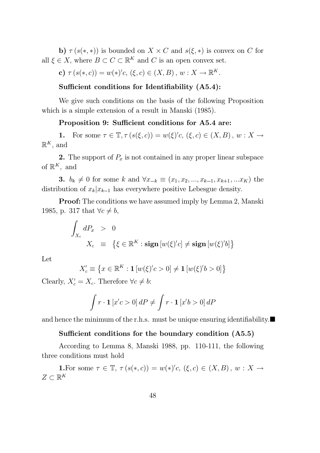b)  $\tau(s(*,*))$  is bounded on  $X \times C$  and  $s(\xi, *)$  is convex on C for all  $\xi \in X$ , where  $B \subset C \subset \mathbb{R}^K$  and C is an open convex set.

c) 
$$
\tau(s(*,c)) = w(*)'c, (\xi,c) \in (X,B), w : X \to \mathbb{R}^K.
$$

#### Sufficient conditions for Identifiability  $(A5.4)$ :

We give such conditions on the basis of the following Proposition which is a simple extension of a result in Manski (1985).

#### Proposition 9: Sufficient conditions for A5.4 are:

1. For some  $\tau \in \mathbb{T}, \tau (s(\xi, c)) = w(\xi)'c, (\xi, c) \in (X, B), w : X \to$  $\mathbb{R}^K$ , and

2. The support of  $P_x$  is not contained in any proper linear subspace of  $\mathbb{R}^K$ , and

**3.**  $b_k \neq 0$  for some k and  $\forall x_{-k} \equiv (x_1, x_2, ..., x_{k-1}, x_{k+1}, ... x_K)$  the distribution of  $x_k|x_{k-1}$  has everywhere positive Lebesgue density.

Proof: The conditions we have assumed imply by Lemma 2, Manski 1985, p. 317 that  $\forall c \neq b$ ,

$$
\int_{X_c} dP_x > 0
$$
  

$$
X_c \equiv \{ \xi \in \mathbb{R}^K : \text{sign} [w(\xi)'c] \neq \text{sign} [w(\xi)'b] \}
$$

Let

$$
X'_c\equiv \left\{x\in\mathbb{R}^K:\mathbf{1}\left[w(\xi)'c>0\right]\ne\mathbf{1}\left[w(\xi)'b>0\right]\right\}
$$

Clearly,  $X'_c = X_c$ . Therefore  $\forall c \neq b$ :

$$
\int r \cdot \mathbf{1} \left[ x'c > 0 \right] dP \neq \int r \cdot \mathbf{1} \left[ x'b > 0 \right] dP
$$

and hence the minimum of the r.h.s. must be unique ensuring identifiability.  $\blacksquare$ 

### Sufficient conditions for the boundary condition  $(A5.5)$

According to Lemma 8, Manski 1988, pp. 110-111, the following three conditions must hold

**1.** For some  $\tau \in \mathbb{T}$ ,  $\tau(s(*, c)) = w(*)'c$ ,  $(\xi, c) \in (X, B)$ ,  $w : X \to$  $Z \subset \mathbb{R}^K$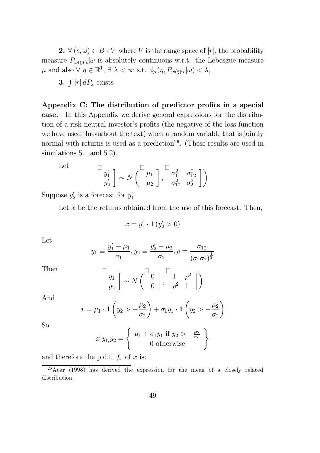**2.**  $\forall$   $(c, \omega) \in B \times V$ , where V is the range space of  $|r|$ , the probability measure  $P_{w(\xi)'\text{c}}|\omega$  is absolutely continuous w.r.t. the Lebesgue measure  $\mu$  and also  $\forall \eta \in \mathbb{R}^1, \exists \lambda < \infty \text{ s.t. } \phi_{\mu}(\eta, P_{w(\xi)'} \mid \omega) < \lambda,$ 

3.  $\int |r| dP_x$  exists

Appendix C: The distribution of predictor profits in a special case. In this Appendix we derive general expressions for the distribution of a risk neutral investor's profits (the negative of the loss function we have used throughout the text) when a random variable that is jointly normal with returns is used as a prediction<sup>26</sup>. (These results are used in simulations 5.1 and 5.2).

Let 
$$
\begin{bmatrix} y_1' \\ y_2' \end{bmatrix} \sim N \begin{bmatrix} \mu_1 \\ \mu_2 \end{bmatrix}, \begin{bmatrix} \sigma_1^2 & \sigma_{12}^2 \\ \sigma_{12}^2 & \sigma_2^2 \end{bmatrix}
$$

Suppose  $y_2'$  is a forecast for  $y_1'$ 

Let  $x$  be the returns obtained from the use of this forecast. Then,

$$
x = y'_1 \cdot \mathbf{1} \left( y'_2 > 0 \right)
$$

Let

$$
y_1 \equiv \frac{y_1' - \mu_1}{\sigma_1}, y_2 \equiv \frac{y_2' - \mu_2}{\sigma_2}, \rho = \frac{\sigma_{12}}{(\sigma_1 \sigma_2)^{\frac{1}{2}}}
$$

Then  $\Box$ 

$$
\begin{array}{c} y_1 \\ y_2 \end{array} \bigg] \sim N \begin{pmatrix} \square & 0 \\ 0 & 0 \end{pmatrix}, \begin{array}{c} \square & \rho^2 \\ \rho^2 & 1 \end{array} \bigg] \bigg)
$$

And

$$
x = \mu_1 \cdot \mathbf{1} \left( y_2 > -\frac{\mu_2}{\sigma_2} \right) + \sigma_1 y_1 \cdot \mathbf{1} \left( y_2 > -\frac{\mu_2}{\sigma_2} \right)
$$

So

$$
x|y_1,y_2 = \left\{\begin{array}{c} \mu_1 + \sigma_1 y_1 \text{ if } y_2 > -\frac{\mu_2}{\sigma_2} \\ 0 \text{ otherwise} \end{array}\right\}
$$

and therefore the p.d.f.  $f_x$  of x is:

 $26$ Acar (1998) has derived the expression for the mean of a closely related distribution.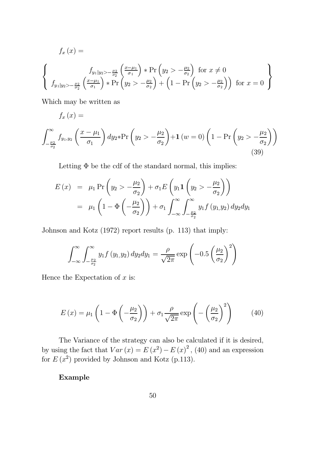$$
f_x(x) =
$$
\n
$$
\begin{cases}\nf_{y_1|y_2 > -\frac{\mu_2}{\sigma_2}}\left(\frac{x-\mu_1}{\sigma_1}\right) * \Pr\left(y_2 > -\frac{\mu_2}{\sigma_2}\right) \text{ for } x \neq 0 \\
f_{y_1|y_2 > -\frac{\mu_2}{\sigma_2}}\left(\frac{x-\mu_1}{\sigma_1}\right) * \Pr\left(y_2 > -\frac{\mu_2}{\sigma_2}\right) + \left(1 - \Pr\left(y_2 > -\frac{\mu_2}{\sigma_2}\right)\right) \text{ for } x = 0\n\end{cases}
$$

Which may be written as

$$
f_{x}\left( x\right) =
$$

$$
\int_{-\frac{\mu_2}{\sigma_2}}^{\infty} f_{y_1, y_2} \left( \frac{x - \mu_1}{\sigma_1} \right) dy_2 * \Pr \left( y_2 > -\frac{\mu_2}{\sigma_2} \right) + \mathbf{1} \left( w = 0 \right) \left( 1 - \Pr \left( y_2 > -\frac{\mu_2}{\sigma_2} \right) \right)
$$
\n(39)

Letting  $\Phi$  be the cdf of the standard normal, this implies:

$$
E(x) = \mu_1 \Pr\left(y_2 > -\frac{\mu_2}{\sigma_2}\right) + \sigma_1 E\left(y_1 \mathbf{1}\left(y_2 > -\frac{\mu_2}{\sigma_2}\right)\right)
$$
  
= 
$$
\mu_1 \left(1 - \Phi\left(-\frac{\mu_2}{\sigma_2}\right)\right) + \sigma_1 \int_{-\infty}^{\infty} \int_{-\frac{\mu_2}{\sigma_2}}^{\infty} y_1 f(y_1, y_2) dy_2 dy_1
$$

Johnson and Kotz (1972) report results (p. 113) that imply:

$$
\int_{-\infty}^{\infty} \int_{-\frac{\mu_2}{\sigma_2}}^{\infty} y_1 f(y_1, y_2) dy_2 dy_1 = \frac{\rho}{\sqrt{2\pi}} \exp\left(-0.5\left(\frac{\mu_2}{\sigma_2}\right)^2\right)
$$

Hence the Expectation of  $x$  is:

$$
E(x) = \mu_1 \left( 1 - \Phi\left(-\frac{\mu_2}{\sigma_2}\right) \right) + \sigma_1 \frac{\rho}{\sqrt{2\pi}} \exp\left(-\left(\frac{\mu_2}{\sigma_2}\right)^2\right) \tag{40}
$$

The Variance of the strategy can also be calculated if it is desired, by using the fact that  $Var(x) = E(x^2) - E(x)^2$ , (40) and an expression for  $E(x^2)$  provided by Johnson and Kotz (p.113).

Example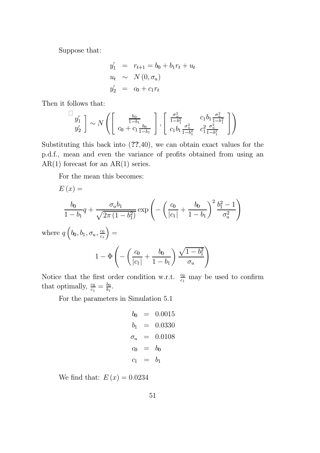Suppose that:

$$
y'_1 = r_{t+1} = b_0 + b_1 r_t + u_t
$$
  
\n
$$
u_t \sim N(0, \sigma_u)
$$
  
\n
$$
y'_2 = c_0 + c_1 r_t
$$

Then it follows that:

$$
\begin{bmatrix} y_1' \\ y_2' \end{bmatrix} \sim N \left( \begin{bmatrix} \frac{b_0}{1 - b_1} \\ c_0 + c_1 \frac{b_0}{1 - b_1} \end{bmatrix}, \begin{bmatrix} \frac{\sigma_u^2}{1 - b_1^2} & c_1 b_1 \frac{\sigma_u^2}{1 - b_1^2} \\ c_1 b_1 \frac{\sigma_u^2}{1 - b_1^2} & c_1^2 \frac{\sigma_u^2}{1 - b_1^2} \end{bmatrix} \right)
$$

Substituting this back into  $(??,40)$ , we can obtain exact values for the p.d.f., mean and even the variance of profits obtained from using an  $AR(1)$  forecast for an  $AR(1)$  series.

For the mean this becomes:

$$
E(x) =
$$
\n
$$
\frac{b_0}{1 - b_1} q + \frac{\sigma_u b_1}{\sqrt{2\pi (1 - b_1^2)}} \exp\left(-\left(\frac{c_0}{|c_1|} + \frac{b_0}{1 - b_1}\right)^2 \frac{b_1^2 - 1}{\sigma_u^2}\right)
$$
\nwhere  $q\left(b_0, b_1, \sigma_u, \frac{c_0}{c_1}\right) =$ 

$$
1 - \Phi\left(-\left(\frac{c_0}{|c_1|} + \frac{b_0}{1 - b_1}\right) \frac{\sqrt{1 - b_1^2}}{\sigma_u}\right)
$$

Notice that the first order condition w.r.t.  $\frac{c_0}{c_1}$  may be used to confirm that optimally,  $\frac{c_0}{c_1} = \frac{b_0}{b_1}$ .

For the parameters in Simulation 5.1

$$
b_0 = 0.0015b_1 = 0.0330cu = 0.0108c0 = b0c1 = b1
$$

We find that:  $E(x) = 0.0234$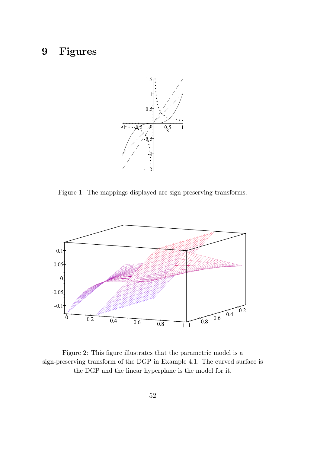# 9 Figures



Figure 1: The mappings displayed are sign preserving transforms.



Figure 2: This figure illustrates that the parametric model is a sign-preserving transform of the DGP in Example 4.1. The curved surface is the DGP and the linear hyperplane is the model for it.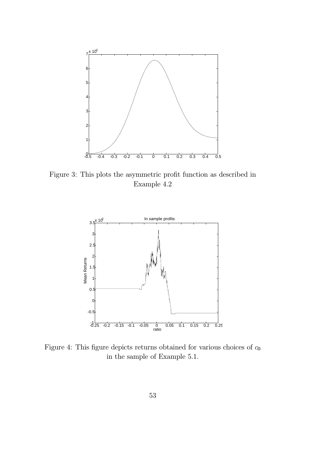

Figure 3: This plots the asymmetric profit function as described in Example 4.2



Figure 4: This figure depicts returns obtained for various choices of  $c_0$ in the sample of Example 5.1.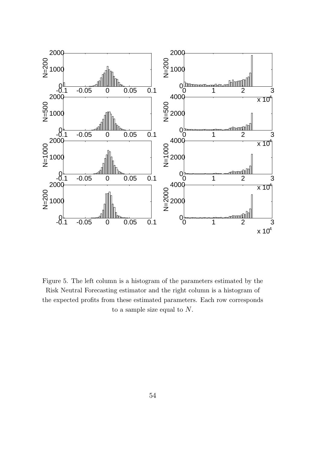

Figure 5. The left column is a histogram of the parameters estimated by the Risk Neutral Forecasting estimator and the right column is a histogram of the expected profits from these estimated parameters. Each row corresponds to a sample size equal to  $N$ .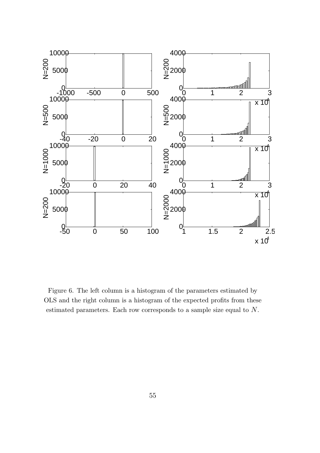

Figure 6. The left column is a histogram of the parameters estimated by OLS and the right column is a histogram of the expected profits from these estimated parameters. Each row corresponds to a sample size equal to N.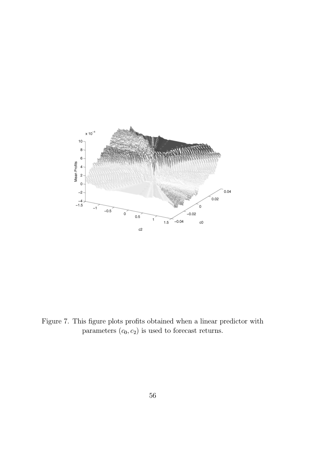

Figure 7. This figure plots profits obtained when a linear predictor with parameters  $(c_0, c_2)$  is used to forecast returns.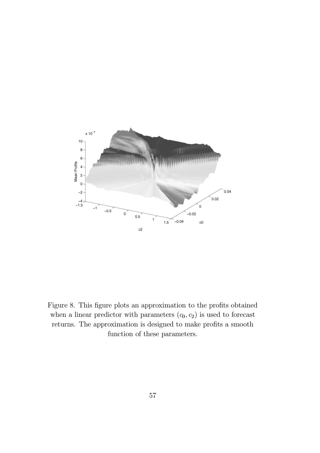

Figure 8. This figure plots an approximation to the profits obtained when a linear predictor with parameters  $(c_0, c_2)$  is used to forecast returns. The approximation is designed to make profits a smooth function of these parameters.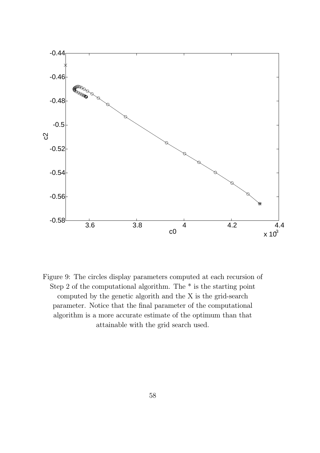

Figure 9: The circles display parameters computed at each recursion of Step 2 of the computational algorithm. The \* is the starting point computed by the genetic algorith and the X is the grid-search parameter. Notice that the final parameter of the computational algorithm is a more accurate estimate of the optimum than that attainable with the grid search used.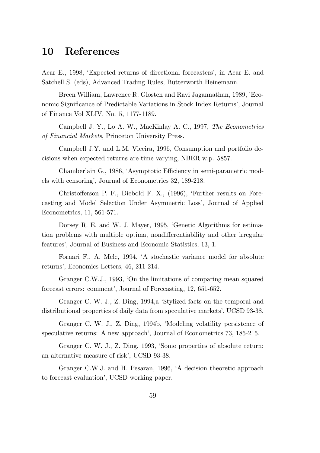## 10 References

Acar E., 1998, 'Expected returns of directional forecasters', in Acar E. and Satchell S. (eds), Advanced Trading Rules, Butterworth Heinemann.

Breen William, Lawrence R. Glosten and Ravi Jagannathan, 1989, 'Economic Significance of Predictable Variations in Stock Index Returns', Journal of Finance Vol XLIV, No. 5, 1177-1189.

Campbell J. Y., Lo A. W., MacKinlay A. C., 1997, The Econometrics of Financial Markets, Princeton University Press.

Campbell J.Y. and L.M. Viceira, 1996, Consumption and portfolio decisions when expected returns are time varying, NBER w.p. 5857.

Chamberlain G., 1986, 'Asymptotic Efficiency in semi-parametric models with censoring', Journal of Econometrics 32, 189-218.

Christofferson P. F., Diebold F. X., (1996), 'Further results on Forecasting and Model Selection Under Asymmetric Loss', Journal of Applied Econometrics, 11, 561-571.

Dorsey R. E. and W. J. Mayer, 1995, 'Genetic Algorithms for estimation problems with multiple optima, nondifferentiability and other irregular features', Journal of Business and Economic Statistics, 13, 1.

Fornari F., A. Mele, 1994, `A stochastic variance model for absolute returns', Economics Letters, 46, 211-214.

Granger C.W.J., 1993, 'On the limitations of comparing mean squared forecast errors: comment', Journal of Forecasting, 12, 651-652.

Granger C. W. J., Z. Ding, 1994,a `Stylized facts on the temporal and distributional properties of daily data from speculative markets', UCSD 93-38.

Granger C. W. J., Z. Ding, 1994b, `Modeling volatility persistence of speculative returns: A new approach', Journal of Econometrics 73, 185-215.

Granger C. W. J., Z. Ding, 1993, 'Some properties of absolute return: an alternative measure of risk', UCSD 93-38.

Granger C.W.J. and H. Pesaran, 1996, `A decision theoretic approach to forecast evaluation', UCSD working paper.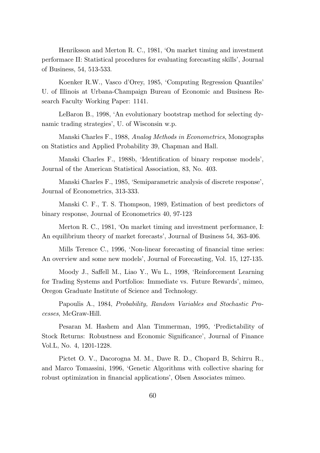Henriksson and Merton R. C., 1981, 'On market timing and investment performace II: Statistical procedures for evaluating forecasting skills', Journal of Business, 54, 513-533.

Koenker R.W., Vasco d'Orey, 1985, 'Computing Regression Quantiles' U. of Illinois at Urbana-Champaign Bureau of Economic and Business Research Faculty Working Paper: 1141.

LeBaron B., 1998, `An evolutionary bootstrap method for selecting dynamic trading strategies', U. of Wisconsin w.p.

Manski Charles F., 1988, Analog Methods in Econometrics, Monographs on Statistics and Applied Probability 39, Chapman and Hall.

Manski Charles F., 1988b, 'Identification of binary response models', Journal of the American Statistical Association, 83, No. 403.

Manski Charles F., 1985, `Semiparametric analysis of discrete response', Journal of Econometrics, 313-333.

Manski C. F., T. S. Thompson, 1989, Estimation of best predictors of binary response, Journal of Econometrics 40, 97-123

Merton R. C., 1981, 'On market timing and investment performance, I: An equilibrium theory of market forecasts', Journal of Business 54, 363-406.

Mills Terence C., 1996, 'Non-linear forecasting of financial time series: An overview and some new models', Journal of Forecasting, Vol. 15, 127-135.

Moody J., Saffell M., Liao Y., Wu L., 1998, 'Reinforcement Learning for Trading Systems and Portfolios: Immediate vs. Future Rewards', mimeo, Oregon Graduate Institute of Science and Technology.

Papoulis A., 1984, Probability, Random Variables and Stochastic Processes, McGraw-Hill.

Pesaran M. Hashem and Alan Timmerman, 1995, `Predictability of Stock Returns: Robustness and Economic Significance', Journal of Finance Vol.L, No. 4, 1201-1228.

Pictet O. V., Dacorogna M. M., Dave R. D., Chopard B, Schirru R., and Marco Tomassini, 1996, `Genetic Algorithms with collective sharing for robust optimization in financial applications', Olsen Associates mimeo.